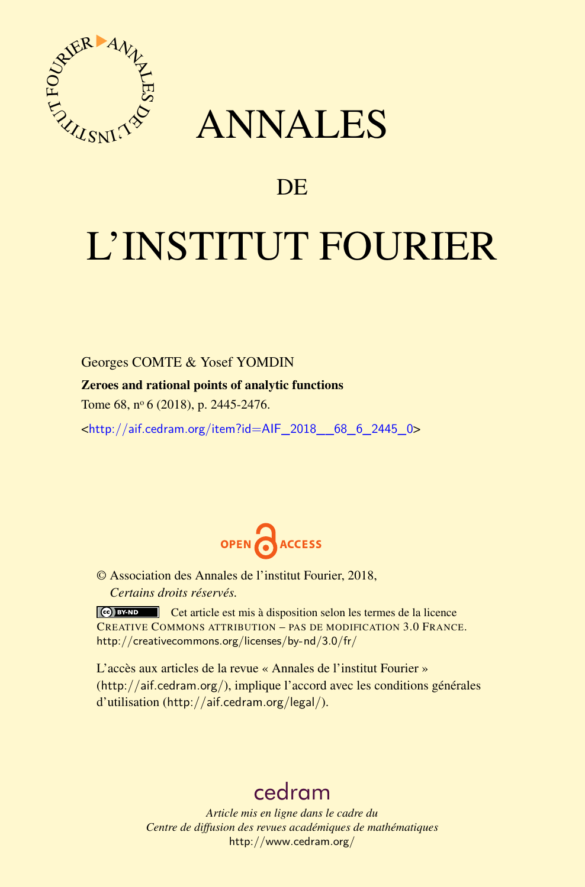

## ANNALES

### **DE**

# L'INSTITUT FOURIER

Georges COMTE & Yosef YOMDIN Zeroes and rational points of analytic functions

Tome 68, nº 6 (2018), p. 2445-2476.

<[http://aif.cedram.org/item?id=AIF\\_2018\\_\\_68\\_6\\_2445\\_0](http://aif.cedram.org/item?id=AIF_2018__68_6_2445_0)>



© Association des Annales de l'institut Fourier, 2018, *Certains droits réservés.*

Cet article est mis à disposition selon les termes de la licence CREATIVE COMMONS ATTRIBUTION – PAS DE MODIFICATION 3.0 FRANCE. <http://creativecommons.org/licenses/by-nd/3.0/fr/>

L'accès aux articles de la revue « Annales de l'institut Fourier » (<http://aif.cedram.org/>), implique l'accord avec les conditions générales d'utilisation (<http://aif.cedram.org/legal/>).

## [cedram](http://www.cedram.org/)

*Article mis en ligne dans le cadre du Centre de diffusion des revues académiques de mathématiques* <http://www.cedram.org/>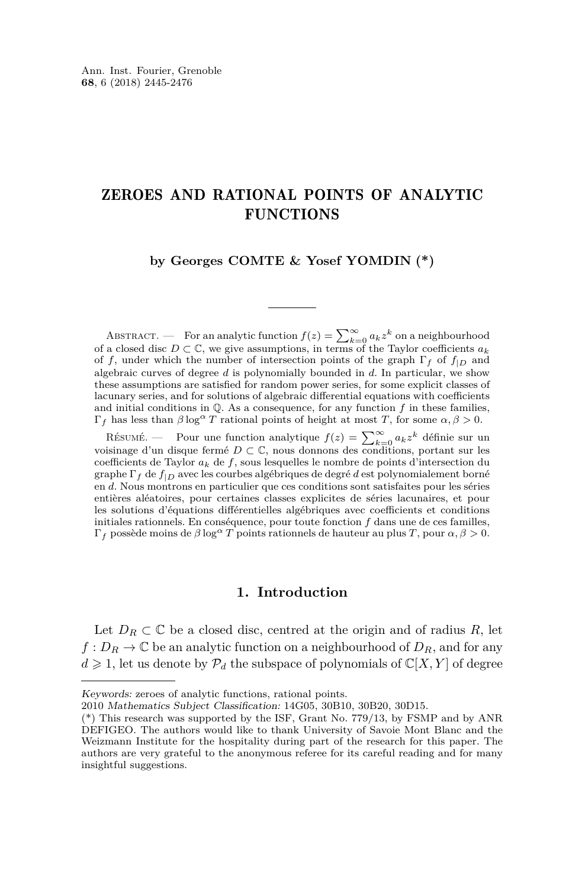#### ZEROES AND RATIONAL POINTS OF ANALYTIC **FUNCTIONS**

**by Georges COMTE & Yosef YOMDIN (\*)**

ABSTRACT. — For an analytic function  $f(z) = \sum_{k=0}^{\infty} a_k z^k$  on a neighbourhood of a closed disc  $D \subset \mathbb{C}$ , we give assumptions, in terms of the Taylor coefficients  $a_k$ of *f*, under which the number of intersection points of the graph  $\Gamma_f$  of  $f_{|D}$  and algebraic curves of degree *d* is polynomially bounded in *d*. In particular, we show these assumptions are satisfied for random power series, for some explicit classes of lacunary series, and for solutions of algebraic differential equations with coefficients and initial conditions in  $\mathbb{Q}$ . As a consequence, for any function  $f$  in these families, Γ*<sup>f</sup>* has less than *β* log*<sup>α</sup> T* rational points of height at most *T*, for some *α, β >* 0.

Résumé. — Pour une function analytique  $f(z) = \sum_{k=0}^{\infty} a_k z^k$  définie sur un voisinage d'un disque fermé  $D \subset \mathbb{C}$ , nous donnons des conditions, portant sur les coefficients de Taylor *a<sup>k</sup>* de *f*, sous lesquelles le nombre de points d'intersection du graphe Γ*<sup>f</sup>* de *f*|*<sup>D</sup>* avec les courbes algébriques de degré *d* est polynomialement borné en *d*. Nous montrons en particulier que ces conditions sont satisfaites pour les séries entières aléatoires, pour certaines classes explicites de séries lacunaires, et pour les solutions d'équations différentielles algébriques avec coefficients et conditions initiales rationnels. En conséquence, pour toute fonction *f* dans une de ces familles, Γ*<sup>f</sup>* possède moins de *β* log*<sup>α</sup> T* points rationnels de hauteur au plus *T*, pour *α, β >* 0.

#### **1. Introduction**

Let  $D_R \subset \mathbb{C}$  be a closed disc, centred at the origin and of radius R, let  $f: D_R \to \mathbb{C}$  be an analytic function on a neighbourhood of  $D_R$ , and for any  $d \geq 1$ , let us denote by  $\mathcal{P}_d$  the subspace of polynomials of  $\mathbb{C}[X, Y]$  of degree

Keywords: zeroes of analytic functions, rational points.

<sup>2010</sup> Mathematics Subject Classification: 14G05, 30B10, 30B20, 30D15.

<sup>(\*)</sup> This research was supported by the ISF, Grant No. 779/13, by FSMP and by ANR DEFIGEO. The authors would like to thank University of Savoie Mont Blanc and the Weizmann Institute for the hospitality during part of the research for this paper. The authors are very grateful to the anonymous referee for its careful reading and for many insightful suggestions.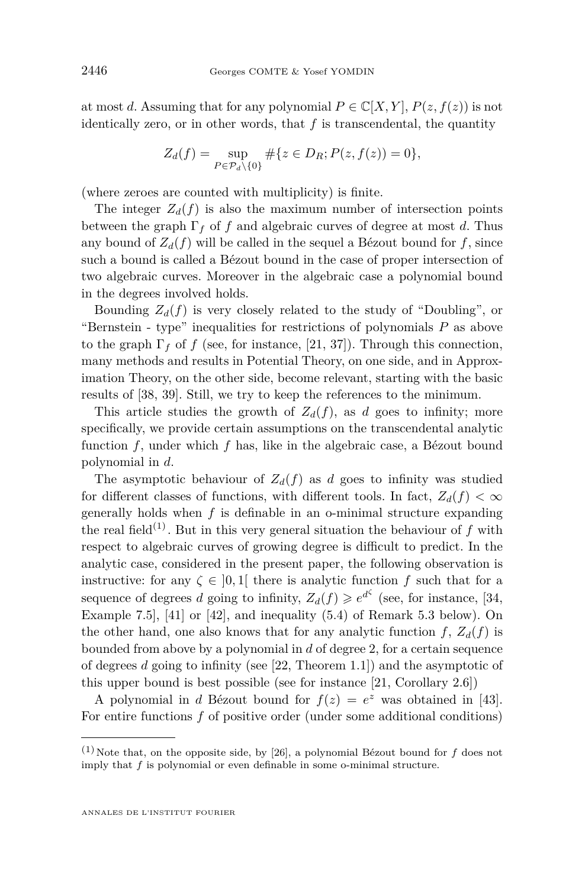at most *d*. Assuming that for any polynomial  $P \in \mathbb{C}[X, Y], P(z, f(z))$  is not identically zero, or in other words, that  $f$  is transcendental, the quantity

$$
Z_d(f) = \sup_{P \in \mathcal{P}_d \setminus \{0\}} \# \{ z \in D_R; P(z, f(z)) = 0 \},\
$$

(where zeroes are counted with multiplicity) is finite.

The integer  $Z_d(f)$  is also the maximum number of intersection points between the graph  $\Gamma_f$  of *f* and algebraic curves of degree at most *d*. Thus any bound of  $Z_d(f)$  will be called in the sequel a Bézout bound for f, since such a bound is called a Bézout bound in the case of proper intersection of two algebraic curves. Moreover in the algebraic case a polynomial bound in the degrees involved holds.

Bounding  $Z_d(f)$  is very closely related to the study of "Doubling", or "Bernstein - type" inequalities for restrictions of polynomials *P* as above to the graph  $\Gamma_f$  of f (see, for instance, [\[21,](#page-31-0) [37\]](#page-31-1)). Through this connection, many methods and results in Potential Theory, on one side, and in Approximation Theory, on the other side, become relevant, starting with the basic results of [\[38,](#page-31-2) [39\]](#page-32-0). Still, we try to keep the references to the minimum.

This article studies the growth of  $Z_d(f)$ , as *d* goes to infinity; more specifically, we provide certain assumptions on the transcendental analytic function *f*, under which *f* has, like in the algebraic case, a Bézout bound polynomial in *d*.

The asymptotic behaviour of  $Z_d(f)$  as *d* goes to infinity was studied for different classes of functions, with different tools. In fact,  $Z_d(f) < \infty$ generally holds when *f* is definable in an o-minimal structure expanding the real field<sup>(1)</sup>. But in this very general situation the behaviour of  $f$  with respect to algebraic curves of growing degree is difficult to predict. In the analytic case, considered in the present paper, the following observation is instructive: for any  $\zeta \in [0,1]$  there is analytic function f such that for a sequence of degrees *d* going to infinity,  $Z_d(f) \geq e^{d^{\zeta}}$  (see, for instance, [\[34,](#page-31-3) Example 7.5], [\[41\]](#page-32-1) or [\[42\]](#page-32-2), and inequality [\(5.4\)](#page-29-0) of Remark [5.3](#page-28-0) below). On the other hand, one also knows that for any analytic function  $f$ ,  $Z_d(f)$  is bounded from above by a polynomial in *d* of degree 2, for a certain sequence of degrees *d* going to infinity (see [\[22,](#page-31-4) Theorem 1.1]) and the asymptotic of this upper bound is best possible (see for instance [\[21,](#page-31-0) Corollary 2.6])

A polynomial in *d* Bézout bound for  $f(z) = e^z$  was obtained in [\[43\]](#page-32-3). For entire functions *f* of positive order (under some additional conditions)

<sup>&</sup>lt;sup>(1)</sup>Note that, on the opposite side, by [\[26\]](#page-31-5), a polynomial Bézout bound for  $f$  does not imply that *f* is polynomial or even definable in some o-minimal structure.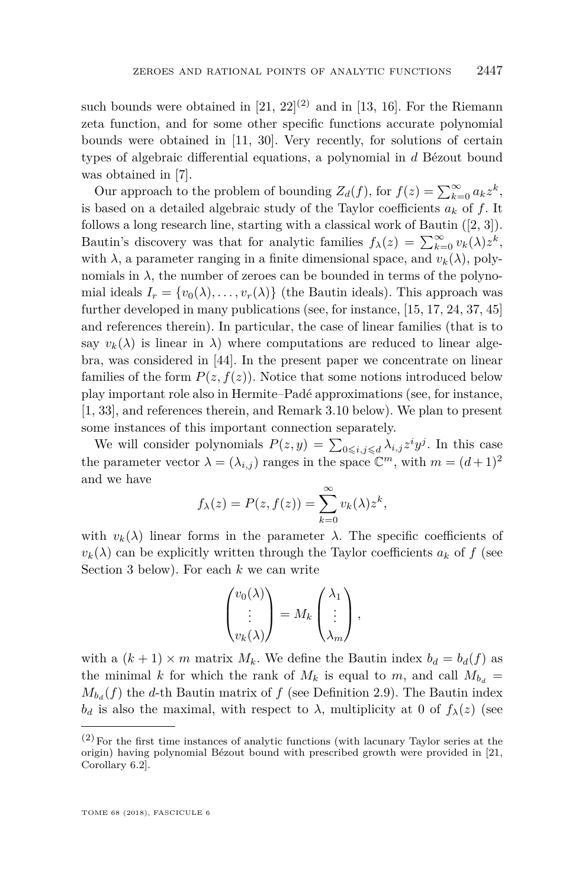such bounds were obtained in  $[21, 22]^{(2)}$  $[21, 22]^{(2)}$  $[21, 22]^{(2)}$  $[21, 22]^{(2)}$  and in [\[13,](#page-30-0) [16\]](#page-31-6). For the Riemann zeta function, and for some other specific functions accurate polynomial bounds were obtained in [\[11,](#page-30-1) [30\]](#page-31-7). Very recently, for solutions of certain types of algebraic differential equations, a polynomial in *d* Bézout bound was obtained in [\[7\]](#page-30-2).

Our approach to the problem of bounding  $Z_d(f)$ , for  $f(z) = \sum_{k=0}^{\infty} a_k z^k$ , is based on a detailed algebraic study of the Taylor coefficients  $a_k$  of f. It follows a long research line, starting with a classical work of Bautin ([\[2,](#page-30-3) [3\]](#page-30-4)). Bautin's discovery was that for analytic families  $f_{\lambda}(z) = \sum_{k=0}^{\infty} v_k(\lambda) z^k$ , with  $\lambda$ , a parameter ranging in a finite dimensional space, and  $v_k(\lambda)$ , polynomials in  $\lambda$ , the number of zeroes can be bounded in terms of the polynomial ideals  $I_r = \{v_0(\lambda), \ldots, v_r(\lambda)\}\$  (the Bautin ideals). This approach was further developed in many publications (see, for instance, [\[15,](#page-30-5) [17,](#page-31-8) [24,](#page-31-9) [37,](#page-31-1) [45\]](#page-32-4) and references therein). In particular, the case of linear families (that is to say  $v_k(\lambda)$  is linear in  $\lambda$ ) where computations are reduced to linear algebra, was considered in [\[44\]](#page-32-5). In the present paper we concentrate on linear families of the form  $P(z, f(z))$ . Notice that some notions introduced below play important role also in Hermite–Padé approximations (see, for instance, [\[1,](#page-30-6) [33\]](#page-31-10), and references therein, and Remark [3.10](#page-15-0) below). We plan to present some instances of this important connection separately.

We will consider polynomials  $P(z, y) = \sum_{0 \leq i, j \leq d} \lambda_{i,j} z^i y^j$ . In this case the parameter vector  $\lambda = (\lambda_{i,j})$  ranges in the space  $\mathbb{C}^m$ , with  $m = (d+1)^2$ and we have

$$
f_{\lambda}(z) = P(z, f(z)) = \sum_{k=0}^{\infty} v_k(\lambda) z^k,
$$

with  $v_k(\lambda)$  linear forms in the parameter  $\lambda$ . The specific coefficients of  $v_k(\lambda)$  can be explicitly written through the Taylor coefficients  $a_k$  of f (see Section [3](#page-12-0) below). For each *k* we can write

$$
\begin{pmatrix} v_0(\lambda) \\ \vdots \\ v_k(\lambda) \end{pmatrix} = M_k \begin{pmatrix} \lambda_1 \\ \vdots \\ \lambda_m \end{pmatrix},
$$

with a  $(k + 1) \times m$  matrix  $M_k$ . We define the Bautin index  $b_d = b_d(f)$  as the minimal *k* for which the rank of  $M_k$  is equal to  $m$ , and call  $M_{b_d}$  =  $M_{b_d}(f)$  the *d*-th Bautin matrix of *f* (see Definition [2.9\)](#page-9-0). The Bautin index *b*<sup>*d*</sup> is also the maximal, with respect to  $\lambda$ , multiplicity at 0 of  $f_{\lambda}(z)$  (see

 $(2)$  For the first time instances of analytic functions (with lacunary Taylor series at the origin) having polynomial Bézout bound with prescribed growth were provided in [\[21,](#page-31-0) Corollary 6.2].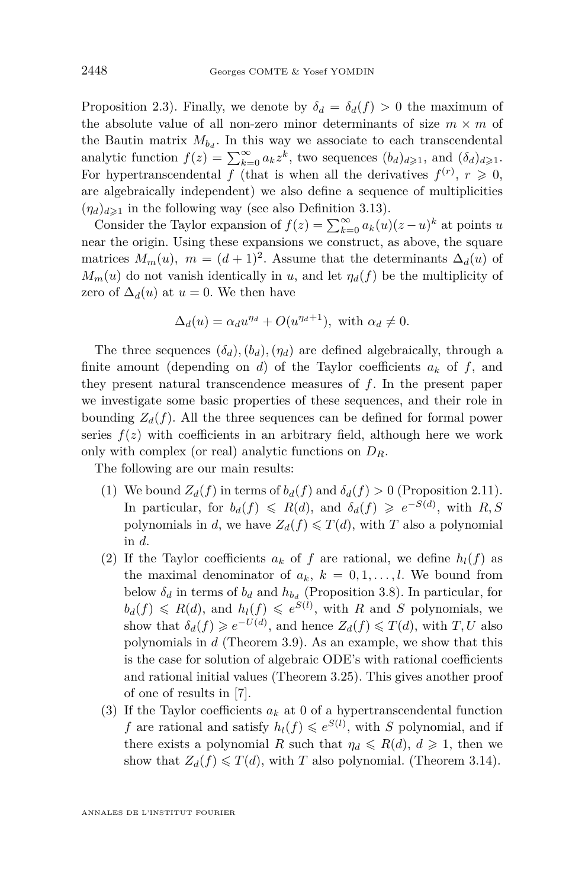Proposition [2.3\)](#page-7-0). Finally, we denote by  $\delta_d = \delta_d(f) > 0$  the maximum of the absolute value of all non-zero minor determinants of size  $m \times m$  of the Bautin matrix  $M_{b_d}$ . In this way we associate to each transcendental analytic function  $f(z) = \sum_{k=0}^{\infty} a_k z^k$ , two sequences  $(b_d)_{d \geq 1}$ , and  $(\delta_d)_{d \geq 1}$ . For hypertranscendental *f* (that is when all the derivatives  $f^{(r)}$ ,  $r \ge 0$ , are algebraically independent) we also define a sequence of multiplicities  $(\eta_d)_{d\geq 1}$  in the following way (see also Definition [3.13\)](#page-17-0).

Consider the Taylor expansion of  $f(z) = \sum_{k=0}^{\infty} a_k(u)(z-u)^k$  at points *u* near the origin. Using these expansions we construct, as above, the square matrices  $M_m(u)$ ,  $m = (d+1)^2$ . Assume that the determinants  $\Delta_d(u)$  of  $M_m(u)$  do not vanish identically in *u*, and let  $\eta_d(f)$  be the multiplicity of zero of  $\Delta_d(u)$  at  $u = 0$ . We then have

$$
\Delta_d(u) = \alpha_d u^{\eta_d} + O(u^{\eta_d+1}), \text{ with } \alpha_d \neq 0.
$$

The three sequences  $(\delta_d)$ ,  $(b_d)$ ,  $(\eta_d)$  are defined algebraically, through a finite amount (depending on *d*) of the Taylor coefficients  $a_k$  of f, and they present natural transcendence measures of *f*. In the present paper we investigate some basic properties of these sequences, and their role in bounding  $Z_d(f)$ . All the three sequences can be defined for formal power series  $f(z)$  with coefficients in an arbitrary field, although here we work only with complex (or real) analytic functions on *DR*.

The following are our main results:

- <span id="page-4-0"></span>(1) We bound  $Z_d(f)$  in terms of  $b_d(f)$  and  $\delta_d(f) > 0$  (Proposition [2.11\)](#page-9-1). In particular, for  $b_d(f) \le R(d)$ , and  $\delta_d(f) \ge e^{-S(d)}$ , with  $R, S$ polynomials in *d*, we have  $Z_d(f) \leq T(d)$ , with *T* also a polynomial in *d*.
- (2) If the Taylor coefficients  $a_k$  of f are rational, we define  $h_l(f)$  as the maximal denominator of  $a_k$ ,  $k = 0, 1, \ldots, l$ . We bound from below  $\delta_d$  in terms of  $b_d$  and  $h_{b_d}$  (Proposition [3.8\)](#page-14-0). In particular, for  $b_d(f) \le R(d)$ , and  $h_l(f) \le e^{S(l)}$ , with *R* and *S* polynomials, we show that  $\delta_d(f) \geqslant e^{-U(d)}$ , and hence  $Z_d(f) \leqslant T(d)$ , with  $T, U$  also polynomials in *d* (Theorem [3.9\)](#page-15-1). As an example, we show that this is the case for solution of algebraic ODE's with rational coefficients and rational initial values (Theorem [3.25\)](#page-24-0). This gives another proof of one of results in [\[7\]](#page-30-2).
- <span id="page-4-1"></span>(3) If the Taylor coefficients  $a_k$  at 0 of a hypertranscendental function *f* are rational and satisfy  $h_l(f) \leq e^{S(l)}$ , with *S* polynomial, and if there exists a polynomial *R* such that  $\eta_d \le R(d), d \ge 1$ , then we show that  $Z_d(f) \leq T(d)$ , with *T* also polynomial. (Theorem [3.14\)](#page-17-1).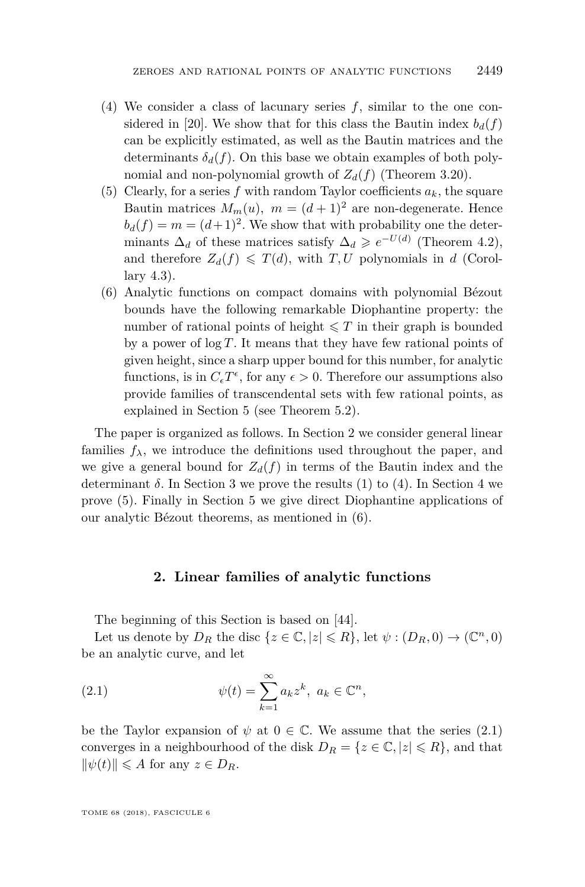- (4) We consider a class of lacunary series *f*, similar to the one con-sidered in [\[20\]](#page-31-11). We show that for this class the Bautin index  $b_d(f)$ can be explicitly estimated, as well as the Bautin matrices and the determinants  $\delta_d(f)$ . On this base we obtain examples of both polynomial and non-polynomial growth of  $Z_d(f)$  (Theorem [3.20\)](#page-21-0).
- <span id="page-5-1"></span>(5) Clearly, for a series f with random Taylor coefficients  $a_k$ , the square Bautin matrices  $M_m(u)$ ,  $m = (d+1)^2$  are non-degenerate. Hence  $b_d(f) = m = (d+1)^2$ . We show that with probability one the determinants  $\Delta_d$  of these matrices satisfy  $\Delta_d \geqslant e^{-U(d)}$  (Theorem [4.2\)](#page-26-0), and therefore  $Z_d(f) \leq T(d)$ , with *T*, *U* polynomials in *d* (Corollary [4.3\)](#page-27-0).
- <span id="page-5-2"></span>(6) Analytic functions on compact domains with polynomial Bézout bounds have the following remarkable Diophantine property: the number of rational points of height  $\leq T$  in their graph is bounded by a power of log *T*. It means that they have few rational points of given height, since a sharp upper bound for this number, for analytic functions, is in  $C_{\epsilon}T^{\epsilon}$ , for any  $\epsilon > 0$ . Therefore our assumptions also provide families of transcendental sets with few rational points, as explained in Section [5](#page-27-1) (see Theorem [5.2\)](#page-28-1).

The paper is organized as follows. In Section [2](#page-5-0) we consider general linear families  $f_{\lambda}$ , we introduce the definitions used throughout the paper, and we give a general bound for  $Z_d(f)$  in terms of the Bautin index and the determinant  $\delta$ . In Section [3](#page-12-0) we prove the results [\(1\)](#page-4-0) to [\(4\)](#page-4-1). In Section [4](#page-25-0) we prove [\(5\)](#page-5-1). Finally in Section [5](#page-27-1) we give direct Diophantine applications of our analytic Bézout theorems, as mentioned in [\(6\)](#page-5-2).

#### <span id="page-5-3"></span>**2. Linear families of analytic functions**

<span id="page-5-0"></span>The beginning of this Section is based on [\[44\]](#page-32-5).

Let us denote by  $D_R$  the disc  $\{z \in \mathbb{C}, |z| \le R\}$ , let  $\psi : (D_R, 0) \to (\mathbb{C}^n, 0)$ be an analytic curve, and let

(2.1) 
$$
\psi(t) = \sum_{k=1}^{\infty} a_k z^k, \ a_k \in \mathbb{C}^n,
$$

be the Taylor expansion of  $\psi$  at  $0 \in \mathbb{C}$ . We assume that the series [\(2.1\)](#page-5-3) converges in a neighbourhood of the disk  $D_R = \{z \in \mathbb{C}, |z| \leq R\}$ , and that  $\|\psi(t)\| \leq A$  for any  $z \in D_R$ .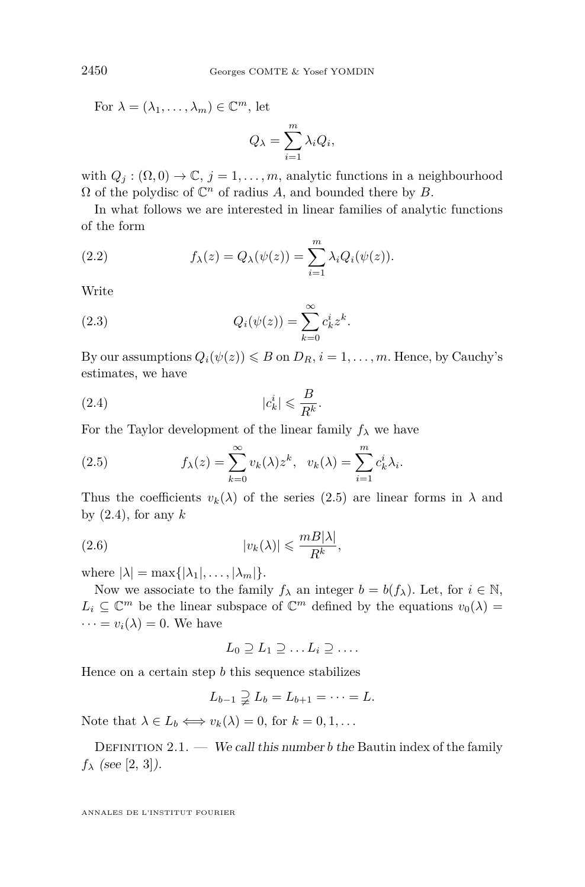For  $\lambda = (\lambda_1, \ldots, \lambda_m) \in \mathbb{C}^m$ , let

$$
Q_{\lambda} = \sum_{i=1}^{m} \lambda_i Q_i,
$$

with  $Q_j : (\Omega, 0) \to \mathbb{C}, j = 1, \ldots, m$ , analytic functions in a neighbourhood  $\Omega$  of the polydisc of  $\mathbb{C}^n$  of radius A, and bounded there by B.

In what follows we are interested in linear families of analytic functions of the form

(2.2) 
$$
f_{\lambda}(z) = Q_{\lambda}(\psi(z)) = \sum_{i=1}^{m} \lambda_i Q_i(\psi(z)).
$$

Write

(2.3) 
$$
Q_i(\psi(z)) = \sum_{k=0}^{\infty} c_k^i z^k.
$$

By our assumptions  $Q_i(\psi(z)) \leq B$  on  $D_R$ ,  $i = 1, \ldots, m$ . Hence, by Cauchy's estimates, we have

<span id="page-6-1"></span>
$$
|c_k^i| \leqslant \frac{B}{R^k}.
$$

For the Taylor development of the linear family  $f_{\lambda}$  we have

<span id="page-6-0"></span>(2.5) 
$$
f_{\lambda}(z) = \sum_{k=0}^{\infty} v_k(\lambda) z^k, \quad v_k(\lambda) = \sum_{i=1}^{m} c_k^{i} \lambda_i.
$$

Thus the coefficients  $v_k(\lambda)$  of the series [\(2.5\)](#page-6-0) are linear forms in  $\lambda$  and by [\(2.4\)](#page-6-1), for any *k*

$$
(2.6) \t\t\t |v_k(\lambda)| \leqslant \frac{m B|\lambda|}{R^k},
$$

where  $|\lambda| = \max\{|\lambda_1|, \ldots, |\lambda_m|\}.$ 

Now we associate to the family  $f_{\lambda}$  an integer  $b = b(f_{\lambda})$ . Let, for  $i \in \mathbb{N}$ ,  $L_i \subseteq \mathbb{C}^m$  be the linear subspace of  $\mathbb{C}^m$  defined by the equations  $v_0(\lambda) =$  $\cdots = v_i(\lambda) = 0$ . We have

$$
L_0 \supseteq L_1 \supseteq \ldots L_i \supseteq \ldots
$$

Hence on a certain step *b* this sequence stabilizes

$$
L_{b-1} \supsetneq L_b = L_{b+1} = \cdots = L.
$$

Note that  $\lambda \in L_b \Longleftrightarrow v_k(\lambda) = 0$ , for  $k = 0, 1, \ldots$ 

DEFINITION  $2.1.$  — We call this number *b* the Bautin index of the family  $f_{\lambda}$  (see [\[2,](#page-30-3) [3\]](#page-30-4)).

ANNALES DE L'INSTITUT FOURIER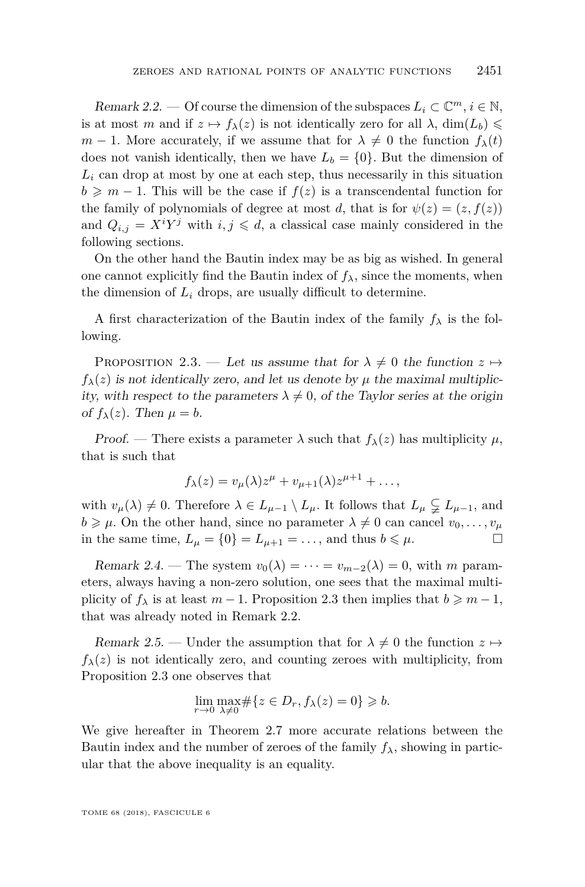<span id="page-7-1"></span>Remark 2.2. — Of course the dimension of the subspaces  $L_i \subset \mathbb{C}^m, i \in \mathbb{N}$ , is at most *m* and if  $z \mapsto f_{\lambda}(z)$  is not identically zero for all  $\lambda$ , dim( $L_b$ )  $\leq$ *m* − 1. More accurately, if we assume that for  $\lambda \neq 0$  the function  $f_{\lambda}(t)$ does not vanish identically, then we have  $L_b = \{0\}$ . But the dimension of  $L_i$  can drop at most by one at each step, thus necessarily in this situation  $b \geq m-1$ . This will be the case if  $f(z)$  is a transcendental function for the family of polynomials of degree at most *d*, that is for  $\psi(z) = (z, f(z))$ and  $Q_{i,j} = X^i Y^j$  with  $i, j \le d$ , a classical case mainly considered in the following sections.

On the other hand the Bautin index may be as big as wished. In general one cannot explicitly find the Bautin index of  $f_{\lambda}$ , since the moments, when the dimension of  $L_i$  drops, are usually difficult to determine.

A first characterization of the Bautin index of the family  $f_{\lambda}$  is the following.

<span id="page-7-0"></span>PROPOSITION 2.3. — Let us assume that for  $\lambda \neq 0$  the function  $z \mapsto$  $f_{\lambda}(z)$  is not identically zero, and let us denote by  $\mu$  the maximal multiplicity, with respect to the parameters  $\lambda \neq 0$ , of the Taylor series at the origin of  $f_{\lambda}(z)$ . Then  $\mu = b$ .

Proof. — There exists a parameter  $\lambda$  such that  $f_{\lambda}(z)$  has multiplicity  $\mu$ , that is such that

$$
f_{\lambda}(z) = v_{\mu}(\lambda)z^{\mu} + v_{\mu+1}(\lambda)z^{\mu+1} + \dots,
$$

with  $v_{\mu}(\lambda) \neq 0$ . Therefore  $\lambda \in L_{\mu-1} \setminus L_{\mu}$ . It follows that  $L_{\mu} \subsetneq L_{\mu-1}$ , and  $b \ge \mu$ . On the other hand, since no parameter  $\lambda \neq 0$  can cancel  $v_0, \ldots, v_\mu$ in the same time,  $L_{\mu} = \{0\} = L_{\mu+1} = \ldots$ , and thus  $b \le \mu$ .

Remark 2.4. — The system  $v_0(\lambda) = \cdots = v_{m-2}(\lambda) = 0$ , with *m* parameters, always having a non-zero solution, one sees that the maximal multiplicity of  $f_{\lambda}$  is at least  $m-1$ . Proposition [2.3](#page-7-0) then implies that  $b \geq m-1$ , that was already noted in Remark [2.2.](#page-7-1)

<span id="page-7-2"></span>Remark 2.5. — Under the assumption that for  $\lambda \neq 0$  the function  $z \mapsto$  $f_{\lambda}(z)$  is not identically zero, and counting zeroes with multiplicity, from Proposition [2.3](#page-7-0) one observes that

$$
\lim_{r \to 0} \max_{\lambda \neq 0} \# \{ z \in D_r, f_\lambda(z) = 0 \} \geqslant b.
$$

We give hereafter in Theorem [2.7](#page-8-0) more accurate relations between the Bautin index and the number of zeroes of the family  $f_{\lambda}$ , showing in particular that the above inequality is an equality.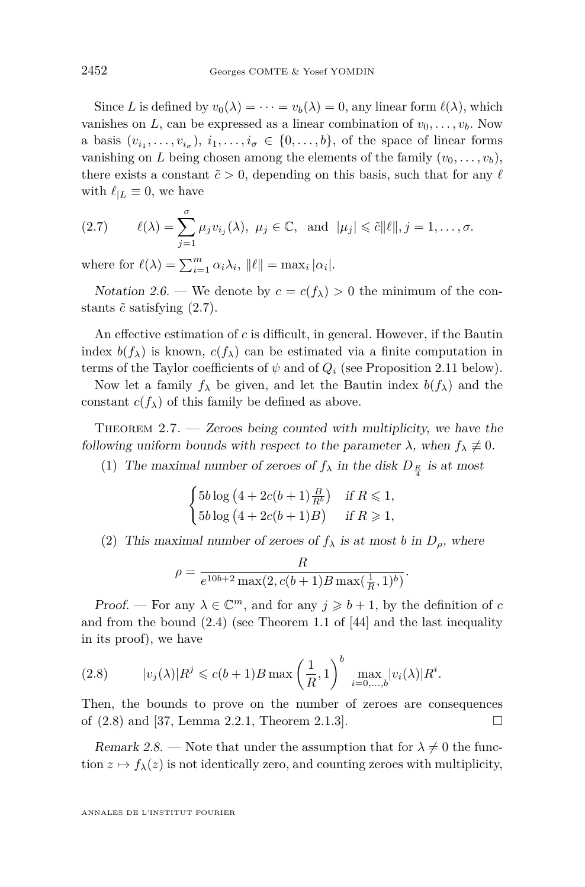Since *L* is defined by  $v_0(\lambda) = \cdots = v_b(\lambda) = 0$ , any linear form  $\ell(\lambda)$ , which vanishes on *L*, can be expressed as a linear combination of  $v_0, \ldots, v_b$ . Now a basis  $(v_{i_1}, \ldots, v_{i_{\sigma}}), i_1, \ldots, i_{\sigma} \in \{0, \ldots, b\}$ , of the space of linear forms vanishing on *L* being chosen among the elements of the family  $(v_0, \ldots, v_b)$ , there exists a constant  $\tilde{c} > 0$ , depending on this basis, such that for any  $\ell$ with  $\ell_{|L} \equiv 0$ , we have

<span id="page-8-1"></span>(2.7) 
$$
\ell(\lambda) = \sum_{j=1}^{\sigma} \mu_j v_{i_j}(\lambda), \ \mu_j \in \mathbb{C}, \ \text{and} \ |\mu_j| \leq \tilde{c} ||\ell||, j = 1, \dots, \sigma.
$$

where for  $\ell(\lambda) = \sum_{i=1}^{m} \alpha_i \lambda_i$ ,  $\|\ell\| = \max_i |\alpha_i|$ .

<span id="page-8-3"></span>Notation 2.6. — We denote by  $c = c(f_\lambda) > 0$  the minimum of the constants  $\tilde{c}$  satisfying  $(2.7)$ .

An effective estimation of *c* is difficult, in general. However, if the Bautin index  $b(f_\lambda)$  is known,  $c(f_\lambda)$  can be estimated via a finite computation in terms of the Taylor coefficients of  $\psi$  and of  $Q_i$  (see Proposition [2.11](#page-9-1) below).

Now let a family  $f_{\lambda}$  be given, and let the Bautin index  $b(f_{\lambda})$  and the constant  $c(f_\lambda)$  of this family be defined as above.

<span id="page-8-0"></span>THEOREM  $2.7.$  — Zeroes being counted with multiplicity, we have the following uniform bounds with respect to the parameter  $\lambda$ , when  $f_{\lambda} \neq 0$ .

(1) The maximal number of zeroes of  $f_{\lambda}$  in the disk  $D_{\frac{R}{4}}$  is at most

$$
\begin{cases}\n5b \log \left(4 + 2c(b+1)\frac{B}{R^b}\right) & \text{if } R \leq 1, \\
5b \log \left(4 + 2c(b+1)B\right) & \text{if } R \geq 1,\n\end{cases}
$$

(2) This maximal number of zeroes of  $f_{\lambda}$  is at most *b* in  $D_{\rho}$ , where

$$
\rho = \frac{R}{e^{10b+2}\max(2, c(b+1)B\max(\frac{1}{R}, 1)^b)}.
$$

Proof. — For any  $\lambda \in \mathbb{C}^m$ , and for any  $j \geq b+1$ , by the definition of *c* and from the bound [\(2.4\)](#page-6-1) (see Theorem 1.1 of [\[44\]](#page-32-5) and the last inequality in its proof), we have

<span id="page-8-2"></span>(2.8) 
$$
|v_j(\lambda)|R^j \leqslant c(b+1)B \max\left(\frac{1}{R},1\right)^b \max_{i=0,\dots,b}|v_i(\lambda)|R^i.
$$

Then, the bounds to prove on the number of zeroes are consequences of  $(2.8)$  and [\[37,](#page-31-1) Lemma 2.2.1, Theorem 2.1.3].

Remark 2.8. — Note that under the assumption that for  $\lambda \neq 0$  the function  $z \mapsto f_{\lambda}(z)$  is not identically zero, and counting zeroes with multiplicity,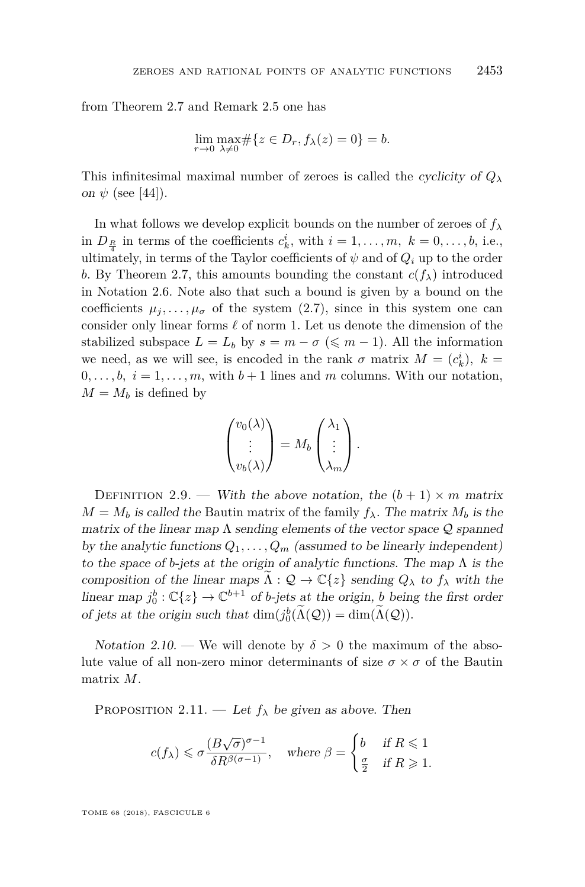from Theorem [2.7](#page-8-0) and Remark [2.5](#page-7-2) one has

$$
\lim_{r \to 0} \max_{\lambda \neq 0} \# \{ z \in D_r, f_\lambda(z) = 0 \} = b.
$$

This infinitesimal maximal number of zeroes is called the cyclicity of  $Q_\lambda$ on  $\psi$  (see [\[44\]](#page-32-5)).

In what follows we develop explicit bounds on the number of zeroes of  $f_{\lambda}$ in  $D_{\frac{R}{4}}$  in terms of the coefficients  $c_k^i$ , with  $i = 1, \ldots, m, k = 0, \ldots, b$ , i.e., ultimately, in terms of the Taylor coefficients of  $\psi$  and of  $Q_i$  up to the order *b*. By Theorem [2.7,](#page-8-0) this amounts bounding the constant  $c(f_\lambda)$  introduced in Notation [2.6.](#page-8-3) Note also that such a bound is given by a bound on the coefficients  $\mu_j, \ldots, \mu_{\sigma}$  of the system [\(2.7\)](#page-8-1), since in this system one can consider only linear forms  $\ell$  of norm 1. Let us denote the dimension of the stabilized subspace  $L = L_b$  by  $s = m - \sigma \leq m - 1$ . All the information we need, as we will see, is encoded in the rank  $\sigma$  matrix  $M = (c_k^i)$ ,  $k =$  $0, \ldots, b, i = 1, \ldots, m$ , with  $b+1$  lines and m columns. With our notation,  $M = M_b$  is defined by

$$
\begin{pmatrix} v_0(\lambda) \\ \vdots \\ v_b(\lambda) \end{pmatrix} = M_b \begin{pmatrix} \lambda_1 \\ \vdots \\ \lambda_m \end{pmatrix}.
$$

<span id="page-9-0"></span>DEFINITION 2.9. — With the above notation, the  $(b+1) \times m$  matrix  $M = M_b$  is called the Bautin matrix of the family  $f_{\lambda}$ . The matrix  $M_b$  is the matrix of the linear map  $\Lambda$  sending elements of the vector space  $\mathcal Q$  spanned by the analytic functions  $Q_1, \ldots, Q_m$  (assumed to be linearly independent) to the space of *b*-jets at the origin of analytic functions. The map Λ is the composition of the linear maps  $\Lambda : \mathcal{Q} \to \mathbb{C}\{z\}$  sending  $Q_{\lambda}$  to  $f_{\lambda}$  with the linear map  $j_0^b : \mathbb{C}\{z\} \to \mathbb{C}^{b+1}$  of *b*-jets at the origin, *b* being the first order of jets at the origin such that  $\dim(j_0^b(\Lambda(Q))) = \dim(\Lambda(Q)).$ 

<span id="page-9-2"></span>Notation 2.10. — We will denote by  $\delta > 0$  the maximum of the absolute value of all non-zero minor determinants of size  $\sigma \times \sigma$  of the Bautin matrix *M*.

<span id="page-9-1"></span>PROPOSITION 2.11. — Let  $f_{\lambda}$  be given as above. Then

$$
c(f_\lambda) \leqslant \sigma \frac{(B \sqrt{\sigma})^{\sigma-1}}{\delta R^{\beta(\sigma-1)}}, \quad \text{where } \beta = \begin{cases} b & \text{if } R \leqslant 1 \\ \frac{\sigma}{2} & \text{if } R \geqslant 1. \end{cases}
$$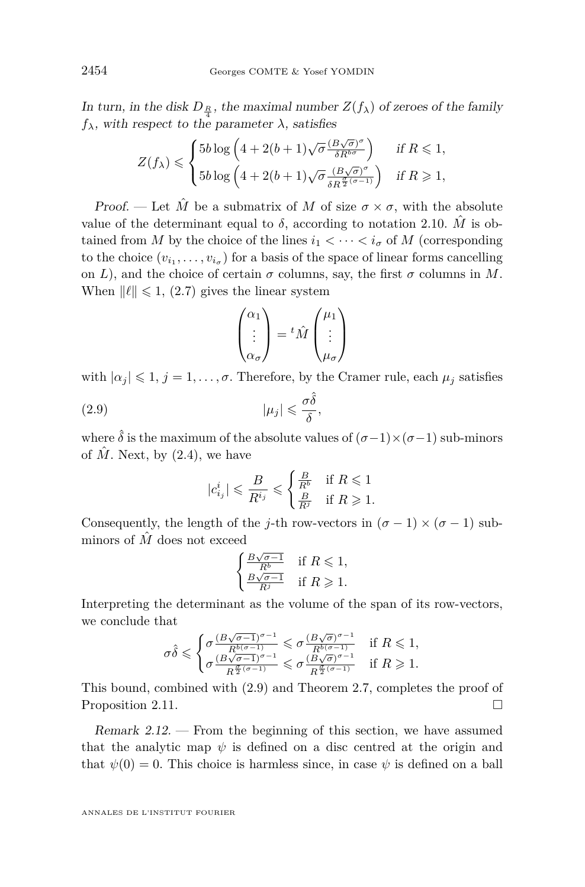In turn, in the disk  $D_{\frac{R}{l}}$ , the maximal number  $Z(f_\lambda)$  of zeroes of the family  $f_{\lambda}$ , with respect to the parameter  $\lambda$ , satisfies

$$
Z(f_{\lambda}) \leqslant \begin{cases} 5b\log\left(4+2(b+1)\sqrt{\sigma}\frac{(B\sqrt{\sigma})^{\sigma}}{\delta R^{b\sigma}}\right) & \text{if } R \leqslant 1, \\ 5b\log\left(4+2(b+1)\sqrt{\sigma}\frac{(B\sqrt{\sigma})^{\sigma}}{\delta R^{\frac{\sigma}{2}(\sigma-1)}}\right) & \text{if } R \geqslant 1, \end{cases}
$$

Proof. — Let  $\hat{M}$  be a submatrix of M of size  $\sigma \times \sigma$ , with the absolute value of the determinant equal to  $\delta$ , according to notation [2.10.](#page-9-2)  $\hat{M}$  is obtained from *M* by the choice of the lines  $i_1 < \cdots < i_{\sigma}$  of *M* (corresponding to the choice  $(v_{i_1}, \ldots, v_{i_{\sigma}})$  for a basis of the space of linear forms cancelling on *L*), and the choice of certain  $\sigma$  columns, say, the first  $\sigma$  columns in *M*. When  $\|\ell\| \leq 1$ , [\(2.7\)](#page-8-1) gives the linear system

$$
\begin{pmatrix} \alpha_1 \\ \vdots \\ \alpha_\sigma \end{pmatrix} = {^t\hat{M}} \begin{pmatrix} \mu_1 \\ \vdots \\ \mu_\sigma \end{pmatrix}
$$

with  $|\alpha_j| \leq 1$ ,  $j = 1, \ldots, \sigma$ . Therefore, by the Cramer rule, each  $\mu_j$  satisfies

$$
(2.9) \t\t |\mu_j| \leqslant \frac{\sigma \hat{\delta}}{\delta},
$$

where  $\hat{\delta}$  is the maximum of the absolute values of  $(\sigma-1)\times(\sigma-1)$  sub-minors of  $\hat{M}$ . Next, by  $(2.4)$ , we have

<span id="page-10-0"></span>
$$
|c_{i_j}^i| \leqslant \frac{B}{R^{i_j}} \leqslant \begin{cases} \frac{B}{R^b} & \text{if } R \leqslant 1\\ \frac{B}{R^j} & \text{if } R \geqslant 1. \end{cases}
$$

Consequently, the length of the *j*-th row-vectors in  $(\sigma - 1) \times (\sigma - 1)$  subminors of  $\hat{M}$  does not exceed

$$
\begin{cases} \frac{B\sqrt{\sigma-1}}{R^b} & \text{if } R \leqslant 1, \\ \frac{B\sqrt{\sigma-1}}{R^j} & \text{if } R \geqslant 1. \end{cases}
$$

Interpreting the determinant as the volume of the span of its row-vectors, we conclude that

$$
\sigma\hat\delta\leqslant \begin{cases} \sigma\frac{(B\sqrt{\sigma-1})^{\sigma-1}}{R^{b(\sigma-1)}}\leqslant \sigma\frac{(B\sqrt{\sigma})^{\sigma-1}}{R^{b(\sigma-1)}}& \text{if }R\leqslant 1,\\ \sigma\frac{(B\sqrt{\sigma-1})^{\sigma-1}}{R^{\frac{\sigma}{2}(\sigma-1)}}\leqslant \sigma\frac{(B\sqrt{\sigma})^{\sigma-1}}{R^{\frac{\sigma}{2}(\sigma-1)}}& \text{if }R\geqslant 1. \end{cases}
$$

This bound, combined with [\(2.9\)](#page-10-0) and Theorem [2.7,](#page-8-0) completes the proof of Proposition [2.11.](#page-9-1)

<span id="page-10-1"></span>Remark 2.12. — From the beginning of this section, we have assumed that the analytic map  $\psi$  is defined on a disc centred at the origin and that  $\psi(0) = 0$ . This choice is harmless since, in case  $\psi$  is defined on a ball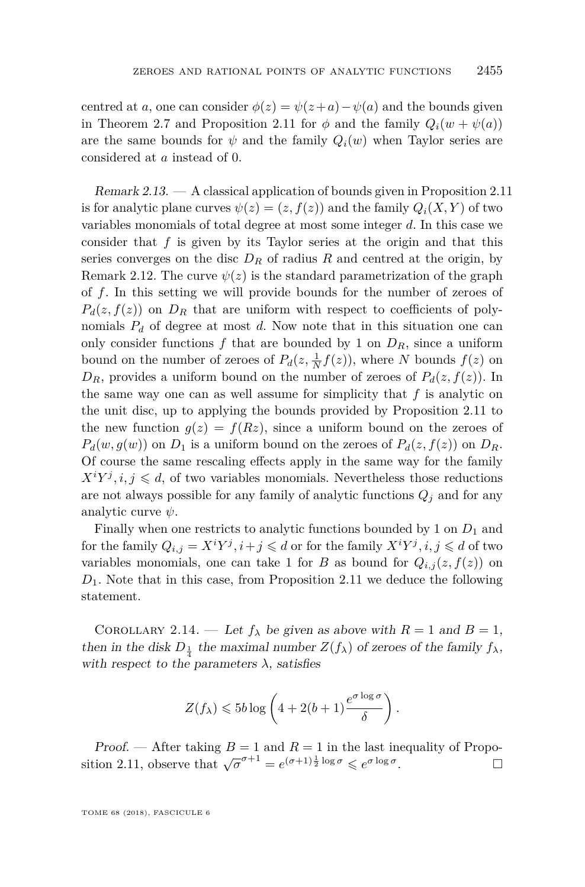centred at *a*, one can consider  $\phi(z) = \psi(z+a) - \psi(a)$  and the bounds given in Theorem [2.7](#page-8-0) and Proposition [2.11](#page-9-1) for  $\phi$  and the family  $Q_i(w + \psi(a))$ are the same bounds for  $\psi$  and the family  $Q_i(w)$  when Taylor series are considered at *a* instead of 0.

<span id="page-11-0"></span>Remark 2.13. — A classical application of bounds given in Proposition [2.11](#page-9-1) is for analytic plane curves  $\psi(z) = (z, f(z))$  and the family  $Q_i(X, Y)$  of two variables monomials of total degree at most some integer *d*. In this case we consider that *f* is given by its Taylor series at the origin and that this series converges on the disc  $D_R$  of radius  $R$  and centred at the origin, by Remark [2.12.](#page-10-1) The curve  $\psi(z)$  is the standard parametrization of the graph of *f*. In this setting we will provide bounds for the number of zeroes of  $P_d(z, f(z))$  on  $D_R$  that are uniform with respect to coefficients of polynomials  $P_d$  of degree at most *d*. Now note that in this situation one can only consider functions  $f$  that are bounded by 1 on  $D_R$ , since a uniform bound on the number of zeroes of  $P_d(z, \frac{1}{N}f(z))$ , where *N* bounds  $f(z)$  on  $D_R$ , provides a uniform bound on the number of zeroes of  $P_d(z, f(z))$ . In the same way one can as well assume for simplicity that *f* is analytic on the unit disc, up to applying the bounds provided by Proposition [2.11](#page-9-1) to the new function  $g(z) = f(Rz)$ , since a uniform bound on the zeroes of  $P_d(w, g(w))$  on  $D_1$  is a uniform bound on the zeroes of  $P_d(z, f(z))$  on  $D_R$ . Of course the same rescaling effects apply in the same way for the family  $X^i Y^j, i, j \leq d$ , of two variables monomials. Nevertheless those reductions are not always possible for any family of analytic functions  $Q_j$  and for any analytic curve *ψ*.

Finally when one restricts to analytic functions bounded by 1 on  $D_1$  and for the family  $Q_{i,j} = X^i Y^j, i + j \leq d$  or for the family  $X^i Y^j, i, j \leq d$  of two variables monomials, one can take 1 for *B* as bound for  $Q_{i,j}(z, f(z))$  on *D*1. Note that in this case, from Proposition [2.11](#page-9-1) we deduce the following statement.

<span id="page-11-1"></span>COROLLARY 2.14. — Let  $f_{\lambda}$  be given as above with  $R = 1$  and  $B = 1$ , then in the disk  $D_{\frac{1}{4}}$  the maximal number  $Z(f_\lambda)$  of zeroes of the family  $f_\lambda$ , with respect to the parameters  $\lambda$ , satisfies

$$
Z(f_{\lambda}) \leqslant 5b \log \left( 4 + 2(b+1) \frac{e^{\sigma \log \sigma}}{\delta} \right).
$$

Proof. — After taking  $B = 1$  and  $R = 1$  in the last inequality of Propo-sition [2.11,](#page-9-1) observe that  $\sqrt{\sigma}^{\sigma+1} = e^{(\sigma+1)\frac{1}{2}\log \sigma} \leqslant e^{\sigma \log \sigma}$ . — Профессор — Профессор — Профессор — Профессор — Профессор — Профессор — Профессор — Профессор — Профессор <br>В профессор — Профессор — Профессор — Профессор — Профессор — Профессор — Профессор — Профессор — Профессор —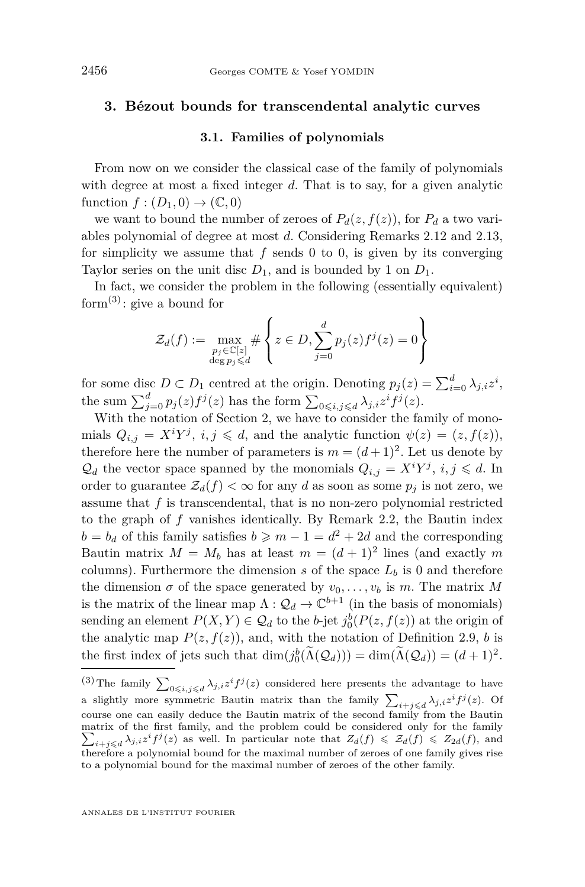#### <span id="page-12-0"></span>**3. Bézout bounds for transcendental analytic curves**

#### **3.1. Families of polynomials**

From now on we consider the classical case of the family of polynomials with degree at most a fixed integer *d*. That is to say, for a given analytic function  $f:(D_1,0) \to (\mathbb{C},0)$ 

we want to bound the number of zeroes of  $P_d(z, f(z))$ , for  $P_d$  a two variables polynomial of degree at most *d*. Considering Remarks [2.12](#page-10-1) and [2.13,](#page-11-0) for simplicity we assume that *f* sends 0 to 0, is given by its converging Taylor series on the unit disc  $D_1$ , and is bounded by 1 on  $D_1$ .

In fact, we consider the problem in the following (essentially equivalent) form<sup>(3)</sup>: give a bound for

$$
\mathcal{Z}_d(f) := \max_{\substack{p_j \in \mathbb{C}[z] \\ \deg p_j \le d}} \# \left\{ z \in D, \sum_{j=0}^d p_j(z) f^j(z) = 0 \right\}
$$

for some disc  $D \subset D_1$  centred at the origin. Denoting  $p_j(z) = \sum_{i=0}^d \lambda_{j,i} z^i$ , the sum  $\sum_{j=0}^{d} p_j(z) f^j(z)$  has the form  $\sum_{0 \leqslant i,j \leqslant d} \lambda_{j,i} z^i f^j(z)$ .

With the notation of Section [2,](#page-5-0) we have to consider the family of monomials  $Q_{i,j} = X^i Y^j$ ,  $i, j \le d$ , and the analytic function  $\psi(z) = (z, f(z))$ , therefore here the number of parameters is  $m = (d+1)^2$ . Let us denote by  $\mathcal{Q}_d$  the vector space spanned by the monomials  $Q_{i,j} = X^i Y^j$ ,  $i, j \leq d$ . In order to guarantee  $\mathcal{Z}_d(f) < \infty$  for any *d* as soon as some  $p_j$  is not zero, we assume that  $f$  is transcendental, that is no non-zero polynomial restricted to the graph of *f* vanishes identically. By Remark [2.2,](#page-7-1) the Bautin index  $b = b_d$  of this family satisfies  $b \geqslant m - 1 = d^2 + 2d$  and the corresponding Bautin matrix  $M = M_b$  has at least  $m = (d+1)^2$  lines (and exactly m columns). Furthermore the dimension  $s$  of the space  $L_b$  is 0 and therefore the dimension  $\sigma$  of the space generated by  $v_0, \ldots, v_b$  is *m*. The matrix *M* is the matrix of the linear map  $\Lambda: \mathcal{Q}_d \to \mathbb{C}^{b+1}$  (in the basis of monomials) sending an element  $P(X, Y) \in \mathcal{Q}_d$  to the *b*-jet  $j_0^b(P(z, f(z))$  at the origin of the analytic map  $P(z, f(z))$ , and, with the notation of Definition [2.9,](#page-9-0) *b* is the first index of jets such that  $\dim(j_0^b(\Lambda(Q_d))) = \dim(\Lambda(Q_d)) = (d+1)^2$ .

<sup>&</sup>lt;sup>(3)</sup> The family  $\sum_{0 \leq i,j \leq d} \lambda_{j,i} z^i f^j(z)$  considered here presents the advantage to have a slightly more symmetric Bautin matrix than the family  $\sum_{i+j\leqslant d} \lambda_{j,i} z^i f^j(z)$ . Of course one can easily deduce the Bautin matrix of the second family from the Bautin matrix of the first family, and the problem could be considered only for the family  $\sum_{i+j\leq d}\lambda_{j,i}z^{i}f^{j}(z)$  as well. In particular note that  $Z_{d}(f) \leq \mathcal{Z}_{d}(f) \leq Z_{2d}(f)$ , and therefore a polynomial bound for the maximal number of zeroes of one family gives rise to a polynomial bound for the maximal number of zeroes of the other family.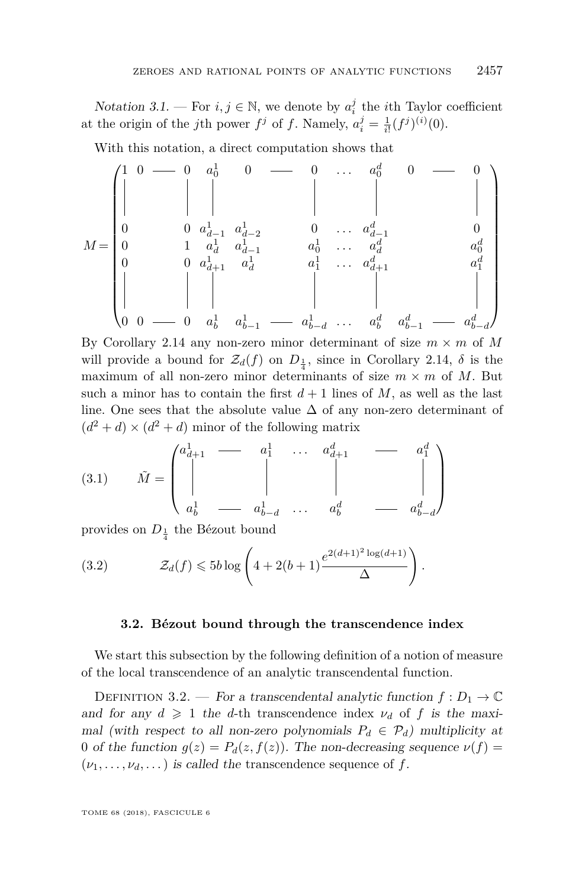<span id="page-13-2"></span>Notation 3.1. — For  $i, j \in \mathbb{N}$ , we denote by  $a_i^j$  the *i*<sup>th</sup> Taylor coefficient at the origin of the *j*th power  $f^j$  of *f*. Namely,  $a_i^j = \frac{1}{i!}(f^j)^{(i)}(0)$ .

With this notation, a direct computation shows that

*M* = 1 0 0 *a* 1 <sup>0</sup> 0 0 *. . . a<sup>d</sup>* <sup>0</sup> 0 0 0 0 *a* 1 *d*−1 *a* 1 *d*−2 0 *. . . a<sup>d</sup> d*−1 0 0 1 *a* 1 *d a* 1 *d*−1 *a* 1 0 *. . . a<sup>d</sup> d a d* 0 0 0 *a* 1 *<sup>d</sup>*+1 *a* 1 *d a* 1 1 *. . . a<sup>d</sup> <sup>d</sup>*+1 *a d* 1 0 0 0 *a* 1 *b a* 1 *b*−1 *a* 1 *b*−*d . . . a<sup>d</sup> b a d b*−1 *a d b*−*d* 

By Corollary [2.14](#page-11-1) any non-zero minor determinant of size  $m \times m$  of M will provide a bound for  $\mathcal{Z}_d(f)$  on  $D_{\frac{1}{4}}$ , since in Corollary [2.14,](#page-11-1)  $\delta$  is the maximum of all non-zero minor determinants of size  $m \times m$  of M. But such a minor has to contain the first  $d+1$  lines of M, as well as the last line. One sees that the absolute value  $\Delta$  of any non-zero determinant of  $(d^2 + d) \times (d^2 + d)$  minor of the following matrix

<span id="page-13-1"></span>(3.1) 
$$
\tilde{M} = \begin{pmatrix} a_{d+1}^1 & \cdots & a_1^1 & \cdots & a_{d+1}^d & \cdots & a_1^d \\ \vdots & \vdots & \vdots & \vdots & \vdots & \vdots \\ a_b^1 & \cdots & a_{b-d}^1 & \cdots & a_b^d & \cdots & a_{b-d}^d \end{pmatrix}
$$

provides on  $D_{\frac{1}{4}}$  the Bézout bound

(3.2) 
$$
\mathcal{Z}_d(f) \leqslant 5b \log \left( 4 + 2(b+1) \frac{e^{2(d+1)^2 \log(d+1)}}{\Delta} \right).
$$

#### <span id="page-13-0"></span>**3.2. Bézout bound through the transcendence index**

<span id="page-13-3"></span>We start this subsection by the following definition of a notion of measure of the local transcendence of an analytic transcendental function.

DEFINITION 3.2. — For a transcendental analytic function  $f: D_1 \to \mathbb{C}$ and for any  $d \geq 1$  the *d*-th transcendence index  $\nu_d$  of f is the maximal (with respect to all non-zero polynomials  $P_d \in \mathcal{P}_d$ ) multiplicity at 0 of the function  $g(z) = P_d(z, f(z))$ . The non-decreasing sequence  $\nu(f)$  $(\nu_1, \ldots, \nu_d, \ldots)$  is called the transcendence sequence of f.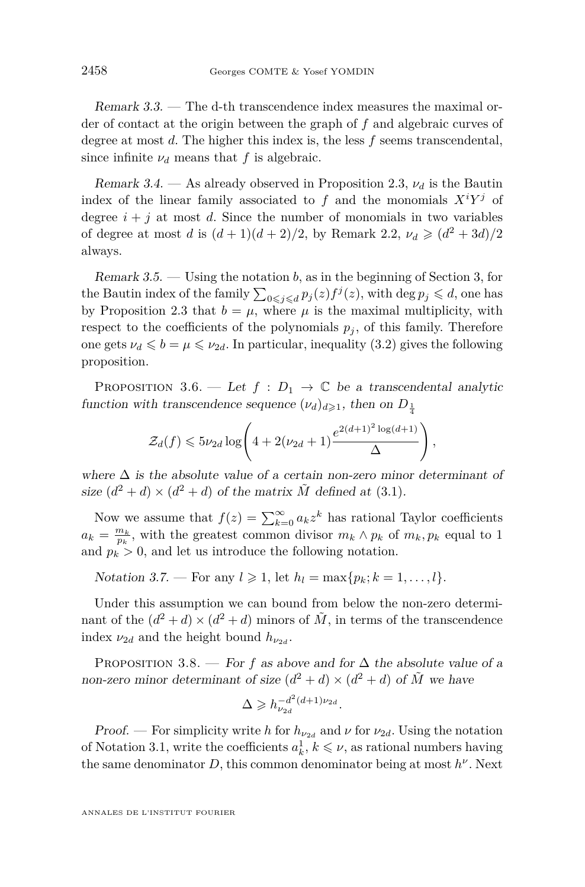Remark 3.3. — The d-th transcendence index measures the maximal order of contact at the origin between the graph of *f* and algebraic curves of degree at most *d*. The higher this index is, the less *f* seems transcendental, since infinite  $\nu_d$  means that *f* is algebraic.

Remark 3.4. — As already observed in Proposition [2.3,](#page-7-0) *ν<sup>d</sup>* is the Bautin index of the linear family associated to  $f$  and the monomials  $X^i Y^j$  of degree  $i + j$  at most *d*. Since the number of monomials in two variables of degree at most *d* is  $(d+1)(d+2)/2$ , by Remark [2.2,](#page-7-1)  $\nu_d \geq (d^2+3d)/2$ always.

<span id="page-14-2"></span>Remark 3.5. — Using the notation *b*, as in the beginning of Section [3,](#page-12-0) for the Bautin index of the family  $\sum_{0 \leq j \leq d} p_j(z) f^j(z)$ , with deg  $p_j \leq d$ , one has by Proposition [2.3](#page-7-0) that  $b = \mu$ , where  $\mu$  is the maximal multiplicity, with respect to the coefficients of the polynomials  $p_j$ , of this family. Therefore one gets  $\nu_d \leqslant b = \mu \leqslant \nu_{2d}$ . In particular, inequality [\(3.2\)](#page-13-0) gives the following proposition.

<span id="page-14-1"></span>PROPOSITION 3.6. — Let  $f : D_1 \to \mathbb{C}$  be a transcendental analytic function with transcendence sequence  $(\nu_d)_{d \geq 1}$ , then on  $D_{\frac{1}{4}}$ 

$$
\mathcal{Z}_d(f) \leqslant 5\nu_{2d}\log\left(4+2(\nu_{2d}+1)\frac{e^{2(d+1)^2\log(d+1)}}{\Delta}\right),
$$

where  $\Delta$  is the absolute value of a certain non-zero minor determinant of size  $(d^2 + d) \times (d^2 + d)$  of the matrix  $\tilde{M}$  defined at [\(3.1\)](#page-13-1).

Now we assume that  $f(z) = \sum_{k=0}^{\infty} a_k z^k$  has rational Taylor coefficients  $a_k = \frac{m_k}{p_k}$ , with the greatest common divisor  $m_k \wedge p_k$  of  $m_k, p_k$  equal to 1 and  $p_k > 0$ , and let us introduce the following notation.

*Notation 3.7.* — For any  $l \ge 1$ , let  $h_l = \max\{p_k; k = 1, ..., l\}$ .

Under this assumption we can bound from below the non-zero determinant of the  $(d^2 + d) \times (d^2 + d)$  minors of  $\tilde{M}$ , in terms of the transcendence index  $\nu_{2d}$  and the height bound  $h_{\nu_{2d}}$ .

<span id="page-14-0"></span>PROPOSITION 3.8. — For f as above and for  $\Delta$  the absolute value of a non-zero minor determinant of size  $(d^2 + d) \times (d^2 + d)$  of  $\tilde{M}$  we have

$$
\Delta \geqslant h_{\nu_{2d}}^{-d^2(d+1)\nu_{2d}}.
$$

Proof. — For simplicity write *h* for  $h_{\nu_{2d}}$  and  $\nu$  for  $\nu_{2d}$ . Using the notation of Notation [3.1,](#page-13-2) write the coefficients  $a_k^1, k \leq \nu$ , as rational numbers having the same denominator *D*, this common denominator being at most *h ν* . Next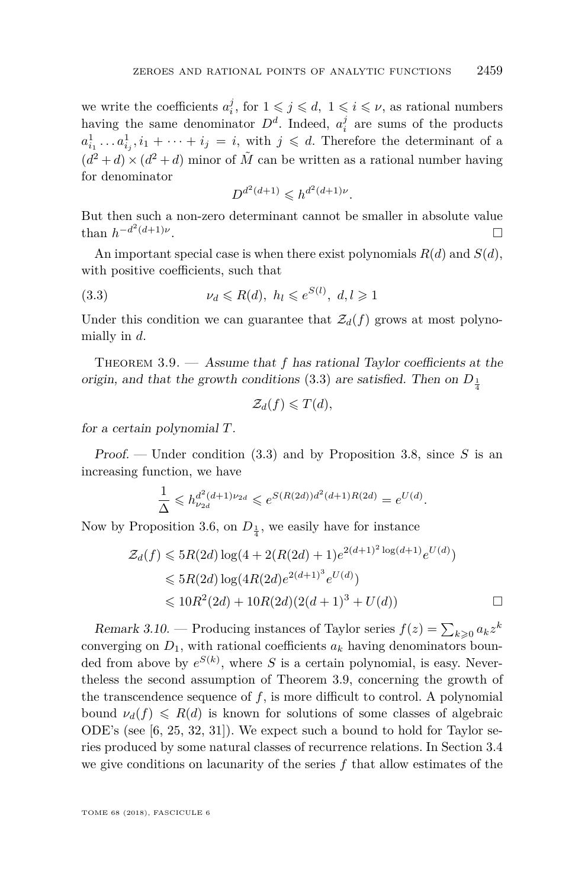we write the coefficients  $a_i^j$ , for  $1 \leqslant j \leqslant d$ ,  $1 \leqslant i \leqslant \nu$ , as rational numbers having the same denominator  $D^d$ . Indeed,  $a_i^j$  are sums of the products  $a_{i_1}^1 \ldots a_{i_j}^1, i_1 + \cdots + i_j = i$ , with  $j \leq d$ . Therefore the determinant of a  $(d^2 + d) \times (d^2 + d)$  minor of  $\tilde{M}$  can be written as a rational number having for denominator

<span id="page-15-2"></span>
$$
D^{d^2(d+1)} \leqslant h^{d^2(d+1)\nu}.
$$

But then such a non-zero determinant cannot be smaller in absolute value than  $h^{-d^2(d+1)\nu}$ .

An important special case is when there exist polynomials  $R(d)$  and  $S(d)$ , with positive coefficients, such that

$$
(3.3) \t\nu_d \le R(d), \ h_l \le e^{S(l)}, \ d, l \ge 1
$$

Under this condition we can guarantee that  $\mathcal{Z}_d(f)$  grows at most polynomially in *d*.

<span id="page-15-1"></span>THEOREM 3.9. — Assume that f has rational Taylor coefficients at the origin, and that the growth conditions  $(3.3)$  are satisfied. Then on  $D_{\frac{1}{4}}$ 

$$
\mathcal{Z}_d(f)\leqslant T(d),
$$

for a certain polynomial *T*.

Proof. — Under condition [\(3.3\)](#page-15-2) and by Proposition [3.8,](#page-14-0) since *S* is an increasing function, we have

$$
\frac{1}{\Delta} \leqslant h_{\nu_{2d}}^{d^2(d+1)\nu_{2d}} \leqslant e^{S(R(2d))d^2(d+1)R(2d)} = e^{U(d)}.
$$

Now by Proposition [3.6,](#page-14-1) on  $D_{\frac{1}{4}}$ , we easily have for instance

$$
\mathcal{Z}_d(f) \leqslant 5R(2d) \log(4 + 2(R(2d) + 1)e^{2(d+1)^2 \log(d+1)}e^{U(d)})
$$
  

$$
\leqslant 5R(2d) \log(4R(2d)e^{2(d+1)^3}e^{U(d)})
$$
  

$$
\leqslant 10R^2(2d) + 10R(2d)(2(d+1)^3 + U(d))
$$

<span id="page-15-0"></span>Remark 3.10. – Producing instances of Taylor series  $f(z) = \sum_{k \geqslant 0} a_k z^k$ converging on  $D_1$ , with rational coefficients  $a_k$  having denominators bounded from above by  $e^{S(k)}$ , where *S* is a certain polynomial, is easy. Nevertheless the second assumption of Theorem [3.9,](#page-15-1) concerning the growth of the transcendence sequence of *f*, is more difficult to control. A polynomial bound  $\nu_d(f) \le R(d)$  is known for solutions of some classes of algebraic ODE's (see [\[6,](#page-30-7) [25,](#page-31-12) [32,](#page-31-13) [31\]](#page-31-14)). We expect such a bound to hold for Taylor series produced by some natural classes of recurrence relations. In Section [3.4](#page-18-0) we give conditions on lacunarity of the series *f* that allow estimates of the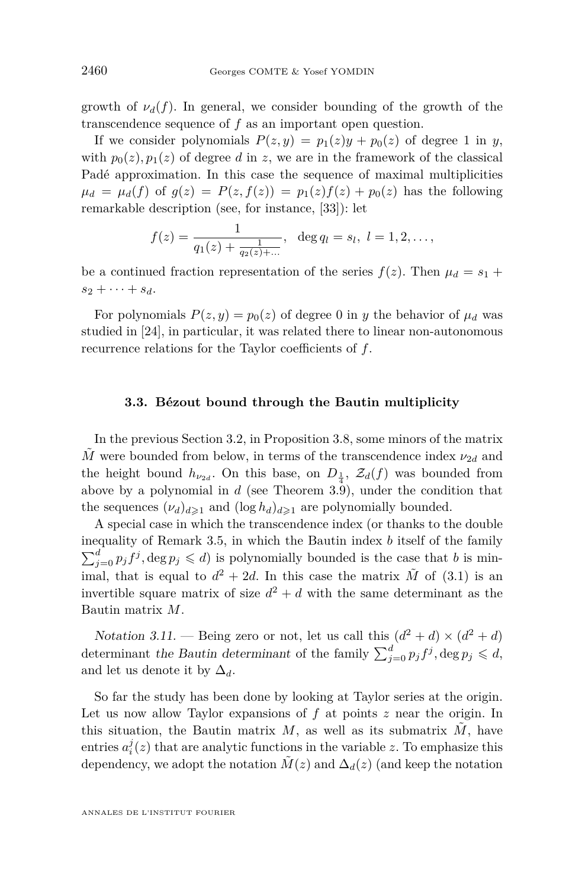growth of  $\nu_d(f)$ . In general, we consider bounding of the growth of the transcendence sequence of *f* as an important open question.

If we consider polynomials  $P(z, y) = p_1(z)y + p_0(z)$  of degree 1 in *y*, with  $p_0(z)$ ,  $p_1(z)$  of degree *d* in *z*, we are in the framework of the classical Padé approximation. In this case the sequence of maximal multiplicities  $\mu_d = \mu_d(f)$  of  $g(z) = P(z, f(z)) = p_1(z)f(z) + p_0(z)$  has the following remarkable description (see, for instance, [\[33\]](#page-31-10)): let

$$
f(z) = \frac{1}{q_1(z) + \frac{1}{q_2(z) + \dots}}, \ \ \deg q_l = s_l, \ l = 1, 2, \dots,
$$

be a continued fraction representation of the series  $f(z)$ . Then  $\mu_d = s_1 +$  $s_2 + \cdots + s_d$ .

For polynomials  $P(z, y) = p_0(z)$  of degree 0 in *y* the behavior of  $\mu_d$  was studied in [\[24\]](#page-31-9), in particular, it was related there to linear non-autonomous recurrence relations for the Taylor coefficients of *f*.

#### **3.3. Bézout bound through the Bautin multiplicity**

In the previous Section [3.2,](#page-13-3) in Proposition [3.8,](#page-14-0) some minors of the matrix  $\tilde{M}$  were bounded from below, in terms of the transcendence index  $\nu_{2d}$  and the height bound  $h_{\nu_{2d}}$ . On this base, on  $D_{\frac{1}{4}}$ ,  $\mathcal{Z}_d(f)$  was bounded from above by a polynomial in *d* (see Theorem [3.9\)](#page-15-1), under the condition that the sequences  $(\nu_d)_{d\geq 1}$  and  $(\log h_d)_{d\geq 1}$  are polynomially bounded.

A special case in which the transcendence index (or thanks to the double inequality of Remark [3.5,](#page-14-2) in which the Bautin index *b* itself of the family  $\sum_{j=0}^{d} p_j f^j$ , deg  $p_j \leq d$ ) is polynomially bounded is the case that *b* is minimal, that is equal to  $d^2 + 2d$ . In this case the matrix  $\tilde{M}$  of [\(3.1\)](#page-13-1) is an invertible square matrix of size  $d^2 + d$  with the same determinant as the Bautin matrix *M*.

Notation 3.11. — Being zero or not, let us call this  $(d^2 + d) \times (d^2 + d)$ determinant the Bautin determinant of the family  $\sum_{j=0}^{d} p_j f^j$ , deg  $p_j \leq d$ , and let us denote it by  $\Delta_d$ .

So far the study has been done by looking at Taylor series at the origin. Let us now allow Taylor expansions of *f* at points *z* near the origin. In this situation, the Bautin matrix  $M$ , as well as its submatrix  $M$ , have entries  $a_i^j(z)$  that are analytic functions in the variable *z*. To emphasize this dependency, we adopt the notation  $\tilde{M}(z)$  and  $\Delta_d(z)$  (and keep the notation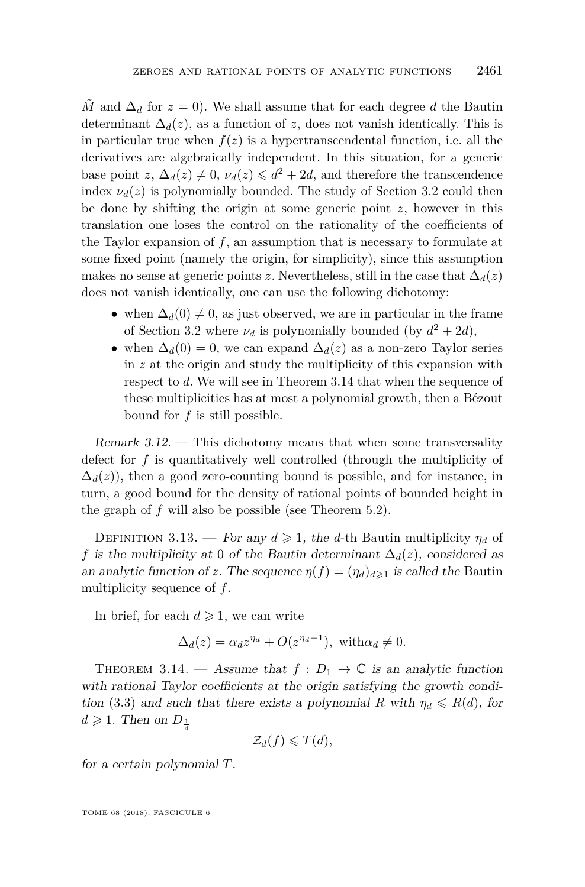$\tilde{M}$  and  $\Delta_d$  for  $z = 0$ ). We shall assume that for each degree *d* the Bautin determinant  $\Delta_d(z)$ , as a function of *z*, does not vanish identically. This is in particular true when  $f(z)$  is a hypertranscendental function, i.e. all the derivatives are algebraically independent. In this situation, for a generic base point  $z, \Delta_d(z) \neq 0, \nu_d(z) \leq d^2 + 2d$ , and therefore the transcendence index  $\nu_d(z)$  is polynomially bounded. The study of Section [3.2](#page-13-3) could then be done by shifting the origin at some generic point *z*, however in this translation one loses the control on the rationality of the coefficients of the Taylor expansion of *f*, an assumption that is necessary to formulate at some fixed point (namely the origin, for simplicity), since this assumption makes no sense at generic points *z*. Nevertheless, still in the case that  $\Delta_d(z)$ does not vanish identically, one can use the following dichotomy:

- when  $\Delta_d(0) \neq 0$ , as just observed, we are in particular in the frame of Section [3.2](#page-13-3) where  $\nu_d$  is polynomially bounded (by  $d^2 + 2d$ ),
- when  $\Delta_d(0) = 0$ , we can expand  $\Delta_d(z)$  as a non-zero Taylor series in *z* at the origin and study the multiplicity of this expansion with respect to *d*. We will see in Theorem [3.14](#page-17-1) that when the sequence of these multiplicities has at most a polynomial growth, then a Bézout bound for *f* is still possible.

Remark  $3.12$ . — This dichotomy means that when some transversality defect for *f* is quantitatively well controlled (through the multiplicity of  $\Delta_d(z)$ ), then a good zero-counting bound is possible, and for instance, in turn, a good bound for the density of rational points of bounded height in the graph of *f* will also be possible (see Theorem [5.2\)](#page-28-1).

<span id="page-17-0"></span>DEFINITION 3.13. — For any  $d \ge 1$ , the *d*-th Bautin multiplicity  $\eta_d$  of *f* is the multiplicity at 0 of the Bautin determinant  $\Delta_d(z)$ , considered as an analytic function of *z*. The sequence  $\eta(f) = (\eta_d)_{d \geq 1}$  is called the Bautin multiplicity sequence of *f*.

In brief, for each  $d \geq 1$ , we can write

$$
\Delta_d(z) = \alpha_d z^{\eta_d} + O(z^{\eta_d+1}), \text{ with } \alpha_d \neq 0.
$$

<span id="page-17-1"></span>THEOREM 3.14. — Assume that  $f: D_1 \to \mathbb{C}$  is an analytic function with rational Taylor coefficients at the origin satisfying the growth condi-tion [\(3.3\)](#page-15-2) and such that there exists a polynomial *R* with  $\eta_d \leq R(d)$ , for  $d \geqslant 1$ . Then on  $D_{\frac{1}{4}}$ 

$$
\mathcal{Z}_d(f)\leqslant T(d),
$$

for a certain polynomial *T*.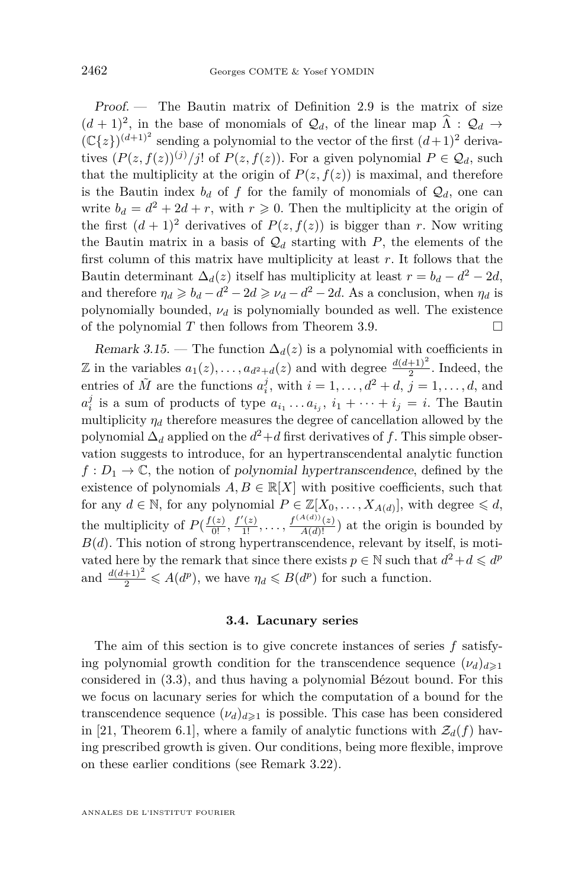Proof. — The Bautin matrix of Definition [2.9](#page-9-0) is the matrix of size  $(d+1)^2$ , in the base of monomials of  $\mathcal{Q}_d$ , of the linear map  $\Lambda : \mathcal{Q}_d \to$  $(\mathbb{C}{z})^{(d+1)^2}$  sending a polynomial to the vector of the first  $(d+1)^2$  derivatives  $(P(z, f(z))^{(j)}/j!$  of  $P(z, f(z))$ . For a given polynomial  $P \in \mathcal{Q}_d$ , such that the multiplicity at the origin of  $P(z, f(z))$  is maximal, and therefore is the Bautin index  $b_d$  of f for the family of monomials of  $\mathcal{Q}_d$ , one can write  $b_d = d^2 + 2d + r$ , with  $r \ge 0$ . Then the multiplicity at the origin of the first  $(d+1)^2$  derivatives of  $P(z, f(z))$  is bigger than *r*. Now writing the Bautin matrix in a basis of  $\mathcal{Q}_d$  starting with *P*, the elements of the first column of this matrix have multiplicity at least *r*. It follows that the Bautin determinant  $\Delta_d(z)$  itself has multiplicity at least  $r = b_d - d^2 - 2d$ , and therefore  $\eta_d \geq b_d - d^2 - 2d \geq \nu_d - d^2 - 2d$ . As a conclusion, when  $\eta_d$  is polynomially bounded,  $\nu_d$  is polynomially bounded as well. The existence of the polynomial  $T$  then follows from Theorem [3.9.](#page-15-1)

<span id="page-18-1"></span>Remark 3.15. — The function  $\Delta_d(z)$  is a polynomial with coefficients in  $\mathbb{Z}$  in the variables  $a_1(z), \ldots, a_{d^2+d}(z)$  and with degree  $\frac{d(d+1)^2}{2}$ . Indeed, the entries of  $\tilde{M}$  are the functions  $a_i^j$ , with  $i = 1, \ldots, d^2 + d$ ,  $j = 1, \ldots, d$ , and  $a_i^j$  is a sum of products of type  $a_{i_1} \ldots a_{i_j}$ ,  $i_1 + \cdots + i_j = i$ . The Bautin multiplicity  $\eta_d$  therefore measures the degree of cancellation allowed by the polynomial  $\Delta_d$  applied on the  $d^2 + d$  first derivatives of *f*. This simple observation suggests to introduce, for an hypertranscendental analytic function  $f: D_1 \to \mathbb{C}$ , the notion of polynomial hypertranscendence, defined by the existence of polynomials  $A, B \in \mathbb{R}[X]$  with positive coefficients, such that for any  $d \in \mathbb{N}$ , for any polynomial  $P \in \mathbb{Z}[X_0, \ldots, X_{A(d)}]$ , with degree  $\leq d$ , the multiplicity of  $P(\frac{f(z)}{0!}, \frac{f'(z)}{1!}, \ldots, \frac{f^{(A(d))}(z)}{A(d)!})$  at the origin is bounded by  $B(d)$ . This notion of strong hypertranscendence, relevant by itself, is motivated here by the remark that since there exists  $p \in \mathbb{N}$  such that  $d^2 + d \leq d^p$ and  $\frac{d(d+1)^2}{2} \leqslant A(d^p)$ , we have  $\eta_d \leqslant B(d^p)$  for such a function.

#### **3.4. Lacunary series**

<span id="page-18-0"></span>The aim of this section is to give concrete instances of series *f* satisfying polynomial growth condition for the transcendence sequence  $(\nu_d)_{d\geq 1}$ considered in [\(3.3\)](#page-15-2), and thus having a polynomial Bézout bound. For this we focus on lacunary series for which the computation of a bound for the transcendence sequence  $(\nu_d)_{d \geq 1}$  is possible. This case has been considered in [\[21,](#page-31-0) Theorem 6.1], where a family of analytic functions with  $\mathcal{Z}_d(f)$  having prescribed growth is given. Our conditions, being more flexible, improve on these earlier conditions (see Remark [3.22\)](#page-22-0).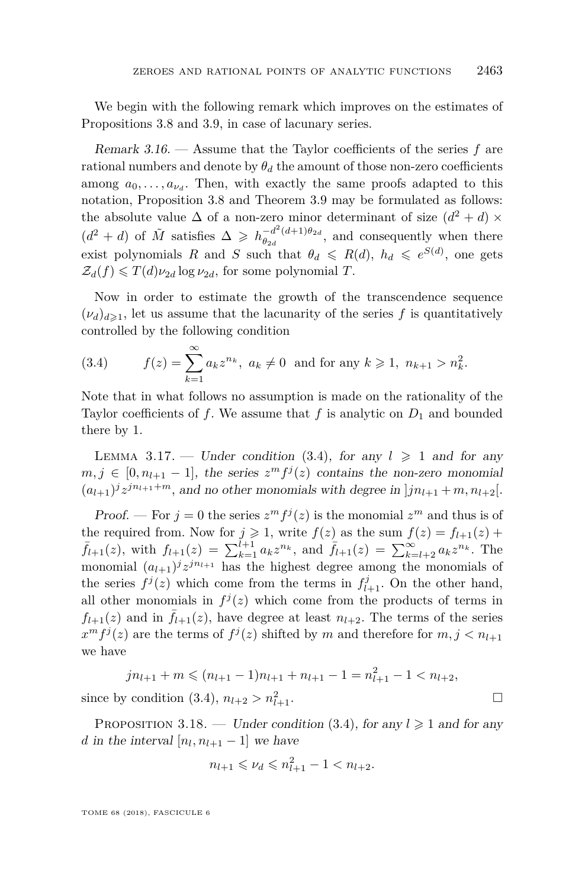We begin with the following remark which improves on the estimates of Propositions [3.8](#page-14-0) and [3.9,](#page-15-1) in case of lacunary series.

Remark 3.16. — Assume that the Taylor coefficients of the series *f* are rational numbers and denote by  $\theta_d$  the amount of those non-zero coefficients among  $a_0, \ldots, a_{\nu_d}$ . Then, with exactly the same proofs adapted to this notation, Proposition [3.8](#page-14-0) and Theorem [3.9](#page-15-1) may be formulated as follows: the absolute value  $\Delta$  of a non-zero minor determinant of size  $(d^2 + d) \times$  $(d^2 + d)$  of  $\tilde{M}$  satisfies  $\Delta \geq h_{\theta_{2d}}^{-d^2(d+1)\theta_{2d}}$  $\frac{(-a)(a+1)}{b}$ , and consequently when there exist polynomials *R* and *S* such that  $\theta_d \le R(d)$ ,  $h_d \le e^{S(d)}$ , one gets  $\mathcal{Z}_d(f) \leq T(d)\nu_{2d} \log \nu_{2d}$ , for some polynomial *T*.

Now in order to estimate the growth of the transcendence sequence  $(\nu_d)_{d\geq 1}$ , let us assume that the lacunarity of the series f is quantitatively controlled by the following condition

<span id="page-19-0"></span>(3.4) 
$$
f(z) = \sum_{k=1}^{\infty} a_k z^{n_k}, \ a_k \neq 0 \text{ and for any } k \geq 1, \ n_{k+1} > n_k^2.
$$

Note that in what follows no assumption is made on the rationality of the Taylor coefficients of f. We assume that f is analytic on  $D_1$  and bounded there by 1.

<span id="page-19-1"></span>LEMMA 3.17. — Under condition [\(3.4\)](#page-19-0), for any  $l \geq 1$  and for any  $m, j \in [0, n_{l+1} - 1]$ , the series  $z^m f^j(z)$  contains the non-zero monomial  $(a_{l+1})^j z^{j n_{l+1}+m}$ , and no other monomials with degree in  $j n_{l+1} + m, n_{l+2}$ .

Proof. — For  $j = 0$  the series  $z^m f^j(z)$  is the monomial  $z^m$  and thus is of the required from. Now for  $j \geq 1$ , write  $f(z)$  as the sum  $f(z) = f_{l+1}(z) +$  $\bar{f}_{l+1}(z)$ , with  $f_{l+1}(z) = \sum_{k=1}^{l+1} a_k z^{n_k}$ , and  $\bar{f}_{l+1}(z) = \sum_{k=l+2}^{\infty} a_k z^{n_k}$ . The monomial  $(a_{l+1})^j z^{j n_{l+1}}$  has the highest degree among the monomials of the series  $f^j(z)$  which come from the terms in  $f^j_{l+1}$ . On the other hand, all other monomials in  $f^{j}(z)$  which come from the products of terms in  $f_{l+1}(z)$  and in  $\bar{f}_{l+1}(z)$ , have degree at least  $n_{l+2}$ . The terms of the series  $x^m f^j(z)$  are the terms of  $f^j(z)$  shifted by *m* and therefore for  $m, j < n_{l+1}$ we have

$$
jn_{l+1} + m \le (n_{l+1} - 1)n_{l+1} + n_{l+1} - 1 = n_{l+1}^2 - 1 < n_{l+2},
$$
\n
$$
since by condition (3.4), n_{l+2} > n_{l+1}^2.
$$

<span id="page-19-2"></span>PROPOSITION 3.18. — Under condition [\(3.4\)](#page-19-0), for any  $l \geq 1$  and for any *d* in the interval  $[n_l, n_{l+1} - 1]$  we have

$$
n_{l+1} \leqslant \nu_d \leqslant n_{l+1}^2 - 1 < n_{l+2}.
$$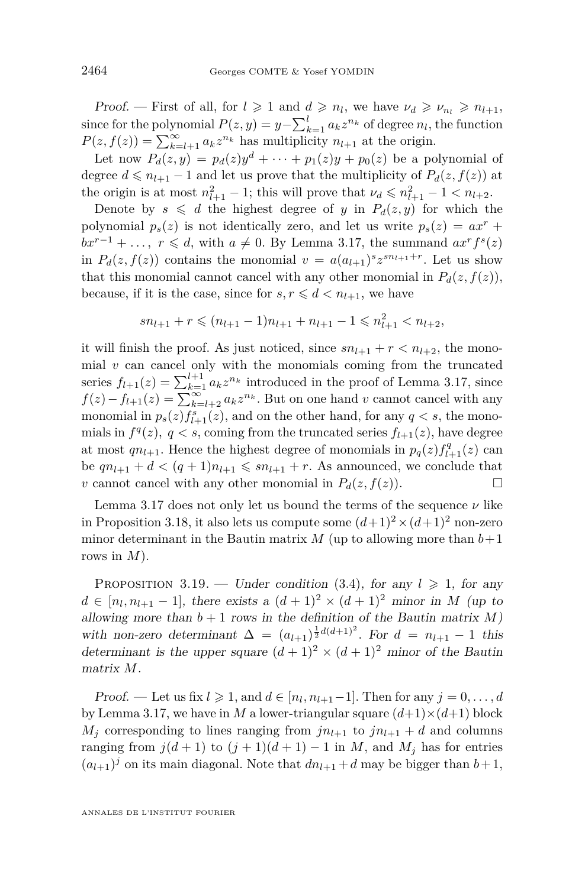Proof. — First of all, for  $l \geq 1$  and  $d \geq n_l$ , we have  $\nu_d \geq \nu_{n_l} \geq n_{l+1}$ , since for the polynomial  $P(z, y) = y - \sum_{k=1}^{l} a_k z^{n_k}$  of degree  $n_l$ , the function  $P(z, f(z)) = \sum_{k=l+1}^{\infty} a_k z^{n_k}$  has multiplicity  $n_{l+1}$  at the origin.

Let now  $P_d(z, y) = p_d(z)y^d + \cdots + p_1(z)y + p_0(z)$  be a polynomial of degree  $d \leq n_{l+1} - 1$  and let us prove that the multiplicity of  $P_d(z, f(z))$  at the origin is at most  $n_{l+1}^2 - 1$ ; this will prove that  $\nu_d \leqslant n_{l+1}^2 - 1 < n_{l+2}$ .

Denote by  $s \leq d$  the highest degree of *y* in  $P_d(z, y)$  for which the polynomial  $p_s(z)$  is not identically zero, and let us write  $p_s(z) = ax^r +$  $bx^{r-1} + \ldots, r \leq d$ , with  $a \neq 0$ . By Lemma [3.17,](#page-19-1) the summand  $ax^r f^s(z)$ in  $P_d(z, f(z))$  contains the monomial  $v = a(a_{l+1})^s z^{sn_{l+1}+r}$ . Let us show that this monomial cannot cancel with any other monomial in  $P_d(z, f(z))$ , because, if it is the case, since for  $s, r \leq d < n_{l+1}$ , we have

$$
sn_{l+1} + r \leqslant (n_{l+1} - 1)n_{l+1} + n_{l+1} - 1 \leqslant n_{l+1}^2 < n_{l+2},
$$

it will finish the proof. As just noticed, since  $sn_{l+1} + r < n_{l+2}$ , the monomial  $v$  can cancel only with the monomials coming from the truncated series  $f_{l+1}(z) = \sum_{k=1}^{l+1} a_k z^{n_k}$  introduced in the proof of Lemma [3.17,](#page-19-1) since  $f(z) - f_{l+1}(z) = \sum_{k=l+2}^{\infty} a_k z^{n_k}$ . But on one hand *v* cannot cancel with any monomial in  $p_s(z) f_{l+1}^s(z)$ , and on the other hand, for any  $q < s$ , the monomials in  $f^{q}(z)$ ,  $q < s$ , coming from the truncated series  $f_{l+1}(z)$ , have degree at most  $qn_{l+1}$ . Hence the highest degree of monomials in  $p_q(z) f_{l+1}^q(z)$  can be  $qn_{l+1} + d < (q+1)n_{l+1} \leqslant sn_{l+1} + r$ . As announced, we conclude that *v* cannot cancel with any other monomial in  $P_d(z, f(z))$ .

Lemma [3.17](#page-19-1) does not only let us bound the terms of the sequence  $\nu$  like in Proposition [3.18,](#page-19-2) it also lets us compute some  $(d+1)^2 \times (d+1)^2$  non-zero minor determinant in the Bautin matrix  $M$  (up to allowing more than  $b+1$ ) rows in *M*).

<span id="page-20-0"></span>PROPOSITION 3.19. — Under condition [\(3.4\)](#page-19-0), for any  $l \geq 1$ , for any  $d \in [n_l, n_{l+1} - 1]$ , there exists a  $(d+1)^2 \times (d+1)^2$  minor in *M* (up to allowing more than  $b + 1$  rows in the definition of the Bautin matrix  $M$ ) with non-zero determinant  $\Delta = (a_{l+1})^{\frac{1}{2}d(d+1)^2}$ . For  $d = n_{l+1} - 1$  this determinant is the upper square  $(d+1)^2 \times (d+1)^2$  minor of the Bautin matrix *M*.

Proof. — Let us fix  $l \geq 1$ , and  $d \in [n_l, n_{l+1}-1]$ . Then for any  $j = 0, \ldots, d$ by Lemma [3.17,](#page-19-1) we have in *M* a lower-triangular square  $(d+1)\times(d+1)$  block  $M_j$  corresponding to lines ranging from  $jn_{l+1}$  to  $jn_{l+1} + d$  and columns ranging from  $j(d+1)$  to  $(j+1)(d+1) - 1$  in *M*, and  $M_j$  has for entries  $(a_{l+1})^j$  on its main diagonal. Note that  $dn_{l+1} + d$  may be bigger than  $b+1$ ,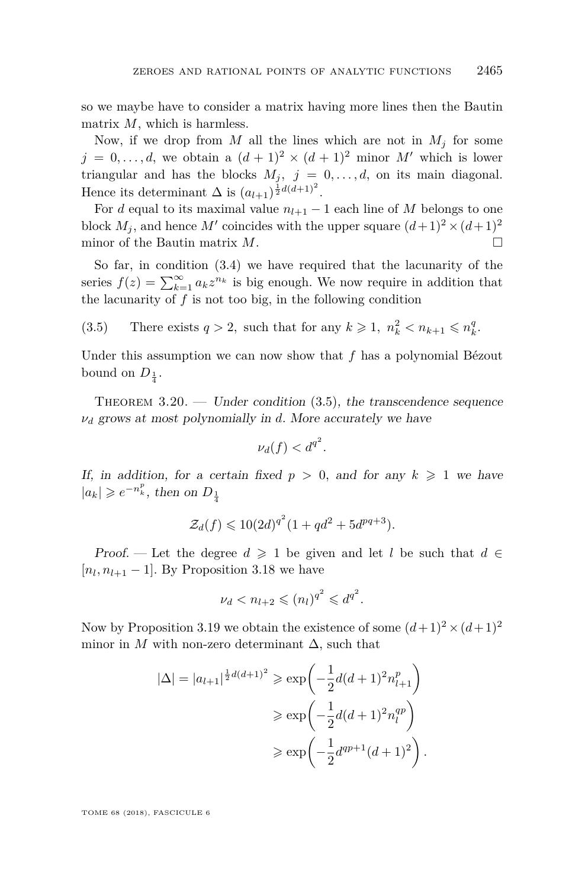so we maybe have to consider a matrix having more lines then the Bautin matrix *M*, which is harmless.

Now, if we drop from *M* all the lines which are not in  $M_i$  for some  $j = 0, \ldots, d$ , we obtain a  $(d+1)^2 \times (d+1)^2$  minor M' which is lower triangular and has the blocks  $M_j$ ,  $j = 0, \ldots, d$ , on its main diagonal. Hence its determinant  $\Delta$  is  $(a_{l+1})^{\frac{1}{2}d(d+1)^2}$ .

For *d* equal to its maximal value  $n_{l+1} - 1$  each line of *M* belongs to one block  $M_j$ , and hence  $M'$  coincides with the upper square  $(d+1)^2 \times (d+1)^2$ minor of the Bautin matrix  $M$ .

So far, in condition [\(3.4\)](#page-19-0) we have required that the lacunarity of the series  $f(z) = \sum_{k=1}^{\infty} a_k z^{n_k}$  is big enough. We now require in addition that the lacunarity of  $f$  is not too big, in the following condition

<span id="page-21-1"></span>(3.5) There exists  $q > 2$ , such that for any  $k \geq 1$ ,  $n_k^2 < n_{k+1} \leq n_k^q$ .

Under this assumption we can now show that *f* has a polynomial Bézout bound on  $D_{\frac{1}{4}}$ .

<span id="page-21-0"></span>THEOREM  $3.20.$  — Under condition  $(3.5)$ , the transcendence sequence *ν<sup>d</sup>* grows at most polynomially in *d*. More accurately we have

$$
\nu_d(f) < d^{q^2}.
$$

If, in addition, for a certain fixed  $p > 0$ , and for any  $k \geq 1$  we have  $|a_k| \geqslant e^{-n_k^p}$ , then on  $D_{\frac{1}{4}}$ 

$$
\mathcal{Z}_d(f) \leq 10(2d)^{q^2} (1 + qd^2 + 5d^{pq+3}).
$$

Proof. — Let the degree  $d \geq 1$  be given and let *l* be such that  $d \in$  $[n_l, n_{l+1} - 1]$ . By Proposition [3.18](#page-19-2) we have

$$
\nu_d < n_{l+2} \leqslant (n_l)^{q^2} \leqslant d^{q^2}.
$$

Now by Proposition [3.19](#page-20-0) we obtain the existence of some  $(d+1)^2 \times (d+1)^2$ minor in *M* with non-zero determinant  $\Delta$ , such that

$$
|\Delta| = |a_{l+1}|^{\frac{1}{2}d(d+1)^2} \ge \exp\left(-\frac{1}{2}d(d+1)^2 n_{l+1}^p\right)
$$
  

$$
\ge \exp\left(-\frac{1}{2}d(d+1)^2 n_l^{qp}\right)
$$
  

$$
\ge \exp\left(-\frac{1}{2}d^{qp+1}(d+1)^2\right).
$$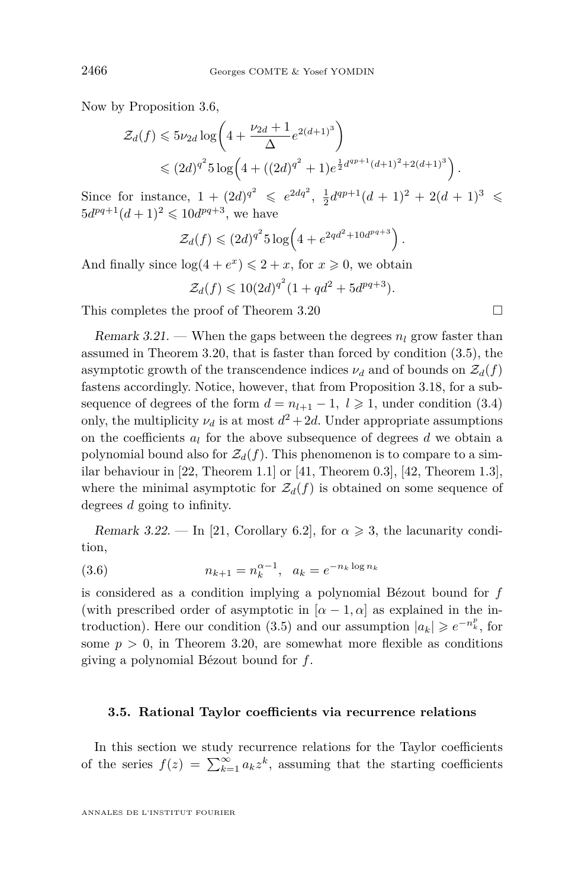Now by Proposition [3.6,](#page-14-1)

$$
\mathcal{Z}_d(f) \leqslant 5\nu_{2d} \log \left( 4 + \frac{\nu_{2d} + 1}{\Delta} e^{2(d+1)^3} \right)
$$
  

$$
\leqslant (2d)^{q^2} 5 \log \left( 4 + ((2d)^{q^2} + 1) e^{\frac{1}{2} d^{q p+1} (d+1)^2 + 2(d+1)^3} \right).
$$

Since for instance,  $1 + (2d)^{q^2} \leqslant e^{2dq^2}$ ,  $\frac{1}{2}d^{qp+1}(d+1)^2 + 2(d+1)^3 \leqslant$  $5d^{pq+1}(d+1)^2 \leq 10d^{pq+3}$ , we have

$$
\mathcal{Z}_d(f) \leq (2d)^{q^2} 5 \log \left( 4 + e^{2qd^2 + 10d^{pq+3}} \right).
$$

And finally since  $\log(4 + e^x) \leq 2 + x$ , for  $x \geq 0$ , we obtain

$$
\mathcal{Z}_d(f) \leq 10(2d)^{q^2}(1+qd^2+5d^{pq+3}).
$$

This completes the proof of Theorem [3.20](#page-21-0)

Remark 3.21. — When the gaps between the degrees  $n_l$  grow faster than assumed in Theorem [3.20,](#page-21-0) that is faster than forced by condition [\(3.5\)](#page-21-1), the asymptotic growth of the transcendence indices  $\nu_d$  and of bounds on  $\mathcal{Z}_d(f)$ fastens accordingly. Notice, however, that from Proposition [3.18,](#page-19-2) for a subsequence of degrees of the form  $d = n_{l+1} - 1$ ,  $l \ge 1$ , under condition [\(3.4\)](#page-19-0) only, the multiplicity  $\nu_d$  is at most  $d^2 + 2d$ . Under appropriate assumptions on the coefficients  $a_l$  for the above subsequence of degrees  $d$  we obtain a polynomial bound also for  $\mathcal{Z}_d(f)$ . This phenomenon is to compare to a sim-ilar behaviour in [\[22,](#page-31-4) Theorem 1.1] or [\[41,](#page-32-1) Theorem 0.3], [\[42,](#page-32-2) Theorem 1.3], where the minimal asymptotic for  $\mathcal{Z}_d(f)$  is obtained on some sequence of degrees *d* going to infinity.

<span id="page-22-0"></span>Remark 3.22. — In [\[21,](#page-31-0) Corollary 6.2], for  $\alpha \geq 3$ , the lacunarity condition,

(3.6) 
$$
n_{k+1} = n_k^{\alpha - 1}, \quad a_k = e^{-n_k \log n_k}
$$

is considered as a condition implying a polynomial Bézout bound for *f* (with prescribed order of asymptotic in  $[\alpha - 1, \alpha]$  as explained in the in-troduction). Here our condition [\(3.5\)](#page-21-1) and our assumption  $|a_k| \geq e^{-n_k^p}$ , for some  $p > 0$ , in Theorem [3.20,](#page-21-0) are somewhat more flexible as conditions giving a polynomial Bézout bound for *f*.

#### **3.5. Rational Taylor coefficients via recurrence relations**

In this section we study recurrence relations for the Taylor coefficients of the series  $f(z) = \sum_{k=1}^{\infty} a_k z^k$ , assuming that the starting coefficients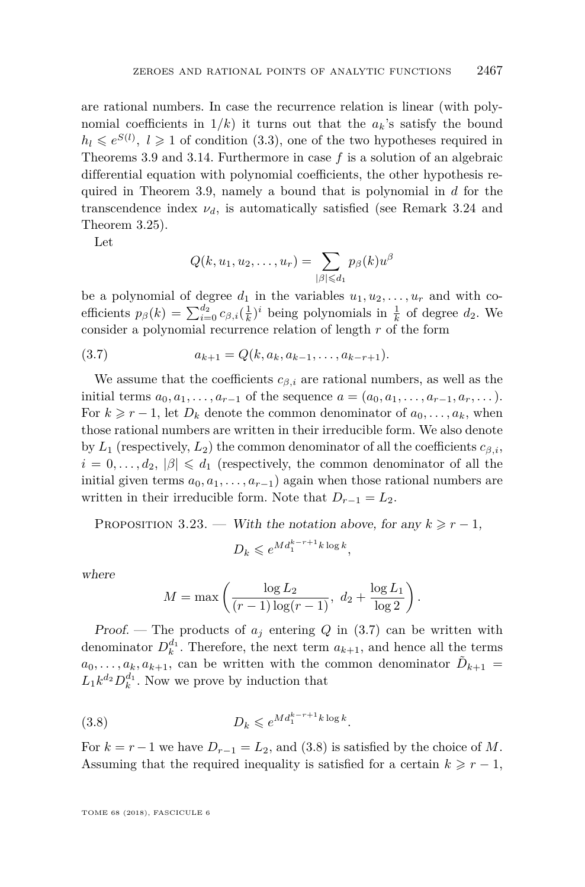are rational numbers. In case the recurrence relation is linear (with polynomial coefficients in  $1/k$ ) it turns out that the  $a_k$ 's satisfy the bound  $h_l \leq e^{S(l)}$ ,  $l \geq 1$  of condition [\(3.3\)](#page-15-2), one of the two hypotheses required in Theorems [3.9](#page-15-1) and [3.14.](#page-17-1) Furthermore in case *f* is a solution of an algebraic differential equation with polynomial coefficients, the other hypothesis required in Theorem [3.9,](#page-15-1) namely a bound that is polynomial in *d* for the transcendence index  $\nu_d$ , is automatically satisfied (see Remark [3.24](#page-24-1) and Theorem [3.25\)](#page-24-0).

Let

<span id="page-23-0"></span>
$$
Q(k, u_1, u_2, \dots, u_r) = \sum_{|\beta| \leq d_1} p_{\beta}(k) u^{\beta}
$$

be a polynomial of degree  $d_1$  in the variables  $u_1, u_2, \ldots, u_r$  and with coefficients  $p_\beta(k) = \sum_{i=0}^{d_2} c_{\beta,i}(\frac{1}{k})^i$  being polynomials in  $\frac{1}{k}$  of degree  $d_2$ . We consider a polynomial recurrence relation of length *r* of the form

$$
(3.7) \t a_{k+1} = Q(k, a_k, a_{k-1}, \dots, a_{k-r+1}).
$$

We assume that the coefficients  $c_{\beta,i}$  are rational numbers, as well as the initial terms  $a_0, a_1, \ldots, a_{r-1}$  of the sequence  $a = (a_0, a_1, \ldots, a_{r-1}, a_r, \ldots)$ . For  $k \geq r-1$ , let  $D_k$  denote the common denominator of  $a_0, \ldots, a_k$ , when those rational numbers are written in their irreducible form. We also denote by  $L_1$  (respectively,  $L_2$ ) the common denominator of all the coefficients  $c_{\beta,i}$ ,  $i = 0, \ldots, d_2, |\beta| \leq d_1$  (respectively, the common denominator of all the initial given terms  $a_0, a_1, \ldots, a_{r-1}$  again when those rational numbers are written in their irreducible form. Note that  $D_{r-1} = L_2$ .

<span id="page-23-2"></span>PROPOSITION 3.23. — With the notation above, for any  $k \geq r-1$ ,

$$
D_k \leqslant e^{Md_1^{k-r+1}k\log k},
$$

where

<span id="page-23-1"></span>
$$
M = \max\left(\frac{\log L_2}{(r-1)\log(r-1)}, d_2 + \frac{\log L_1}{\log 2}\right).
$$

Proof. – The products of  $a_j$  entering Q in [\(3.7\)](#page-23-0) can be written with denominator  $D_k^{d_1}$ . Therefore, the next term  $a_{k+1}$ , and hence all the terms  $a_0, \ldots, a_k, a_{k+1}$ , can be written with the common denominator  $\tilde{D}_{k+1} =$  $L_1 k^{d_2} D_k^{d_1}$ . Now we prove by induction that

$$
(3.8) \t\t D_k \leqslant e^{Md_1^{k-r+1}k\log k}.
$$

For  $k = r - 1$  we have  $D_{r-1} = L_2$ , and [\(3.8\)](#page-23-1) is satisfied by the choice of M. Assuming that the required inequality is satisfied for a certain  $k \geq r-1$ ,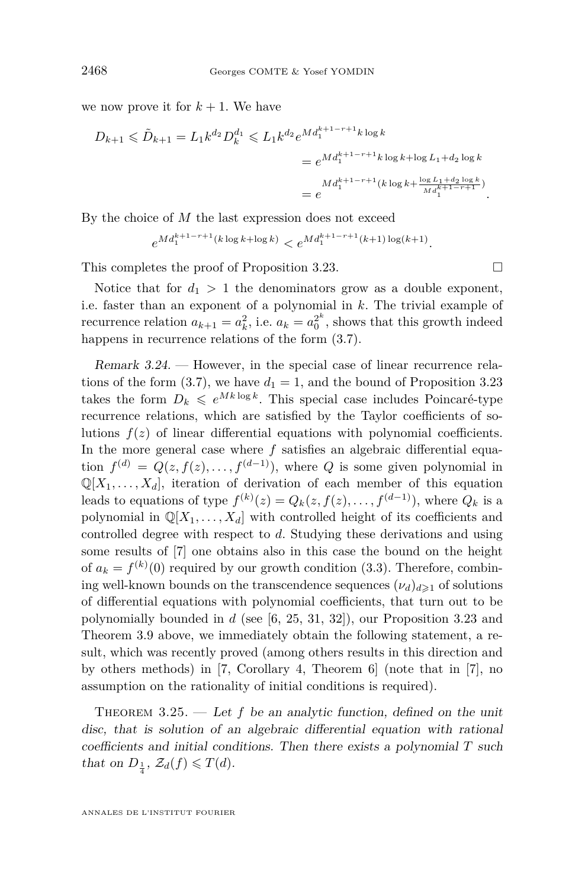we now prove it for  $k + 1$ . We have

$$
D_{k+1} \leq \tilde{D}_{k+1} = L_1 k^{d_2} D_k^{d_1} \leq L_1 k^{d_2} e^{Md_1^{k+1-r+1} k \log k}
$$
  
= 
$$
e^{Md_1^{k+1-r+1} k \log k + \log L_1 + d_2 \log k}
$$
  
= 
$$
e^{Md_1^{k+1-r+1} (k \log k + \frac{\log L_1 + d_2 \log k}{Md_1^{k+1-r+1})}}.
$$

By the choice of *M* the last expression does not exceed

$$
e^{Md_1^{k+1-r+1}(k\log k+\log k)} < e^{Md_1^{k+1-r+1}(k+1)\log(k+1)}.
$$

This completes the proof of Proposition [3.23.](#page-23-2)  $\Box$ 

Notice that for  $d_1 > 1$  the denominators grow as a double exponent, i.e. faster than an exponent of a polynomial in *k*. The trivial example of recurrence relation  $a_{k+1} = a_k^2$ , i.e.  $a_k = a_0^{2^k}$ , shows that this growth indeed happens in recurrence relations of the form [\(3.7\)](#page-23-0).

<span id="page-24-1"></span>Remark 3.24. — However, in the special case of linear recurrence rela-tions of the form [\(3.7\)](#page-23-0), we have  $d_1 = 1$ , and the bound of Proposition [3.23](#page-23-2) takes the form  $D_k \leq e^{Mk \log k}$ . This special case includes Poincaré-type recurrence relations, which are satisfied by the Taylor coefficients of solutions  $f(z)$  of linear differential equations with polynomial coefficients. In the more general case where *f* satisfies an algebraic differential equation  $f^{(d)} = Q(z, f(z), \ldots, f^{(d-1)})$ , where *Q* is some given polynomial in  $\mathbb{Q}[X_1,\ldots,X_d]$ , iteration of derivation of each member of this equation leads to equations of type  $f^{(k)}(z) = Q_k(z, f(z), \ldots, f^{(d-1)})$ , where  $Q_k$  is a polynomial in  $\mathbb{Q}[X_1,\ldots,X_d]$  with controlled height of its coefficients and controlled degree with respect to *d*. Studying these derivations and using some results of [\[7\]](#page-30-2) one obtains also in this case the bound on the height of  $a_k = f^{(k)}(0)$  required by our growth condition [\(3.3\)](#page-15-2). Therefore, combining well-known bounds on the transcendence sequences  $(\nu_d)_{d\geq 1}$  of solutions of differential equations with polynomial coefficients, that turn out to be polynomially bounded in *d* (see [\[6,](#page-30-7) [25,](#page-31-12) [31,](#page-31-14) [32\]](#page-31-13)), our Proposition [3.23](#page-23-2) and Theorem [3.9](#page-15-1) above, we immediately obtain the following statement, a result, which was recently proved (among others results in this direction and by others methods) in [\[7,](#page-30-2) Corollary 4, Theorem 6] (note that in [\[7\]](#page-30-2), no assumption on the rationality of initial conditions is required).

<span id="page-24-0"></span>THEOREM  $3.25.$  — Let f be an analytic function, defined on the unit disc, that is solution of an algebraic differential equation with rational coefficients and initial conditions. Then there exists a polynomial *T* such that on  $D_{\frac{1}{4}}$ ,  $\mathcal{Z}_d(f) \leq T(d)$ .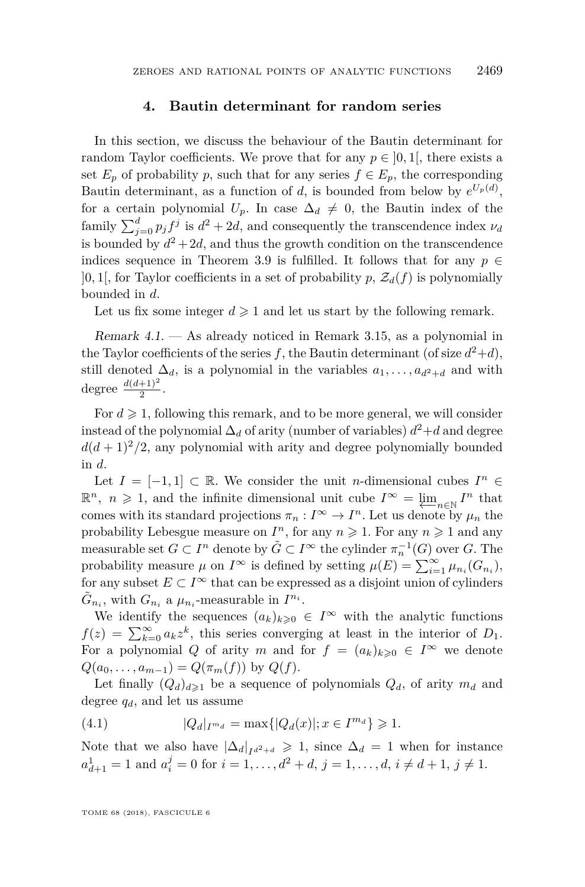#### **4. Bautin determinant for random series**

<span id="page-25-0"></span>In this section, we discuss the behaviour of the Bautin determinant for random Taylor coefficients. We prove that for any  $p \in [0,1]$ , there exists a set  $E_p$  of probability p, such that for any series  $f \in E_p$ , the corresponding Bautin determinant, as a function of *d*, is bounded from below by  $e^{U_p(d)}$ , for a certain polynomial  $U_p$ . In case  $\Delta_d \neq 0$ , the Bautin index of the family  $\sum_{j=0}^{d} p_j f^j$  is  $d^2 + 2d$ , and consequently the transcendence index  $\nu_d$ is bounded by  $d^2 + 2d$ , and thus the growth condition on the transcendence indices sequence in Theorem [3.9](#page-15-1) is fulfilled. It follows that for any  $p \in$  $[0,1]$ , for Taylor coefficients in a set of probability p,  $\mathcal{Z}_d(f)$  is polynomially bounded in *d*.

Let us fix some integer  $d \geq 1$  and let us start by the following remark.

Remark  $4.1.$  — As already noticed in Remark [3.15,](#page-18-1) as a polynomial in the Taylor coefficients of the series f, the Bautin determinant (of size  $d^2+d$ ), still denoted  $\Delta_d$ , is a polynomial in the variables  $a_1, \ldots, a_{d^2+d}$  and with degree  $\frac{d(d+1)^2}{2}$ .

For  $d \geq 1$ , following this remark, and to be more general, we will consider instead of the polynomial  $\Delta_d$  of arity (number of variables)  $d^2+d$  and degree  $d(d+1)^2/2$ , any polynomial with arity and degree polynomially bounded in *d*.

Let  $I = [-1, 1] \subset \mathbb{R}$ . We consider the unit *n*-dimensional cubes  $I^n \in$  $\mathbb{R}^n$ ,  $n \geq 1$ , and the infinite dimensional unit cube  $I^{\infty} = \varprojlim_{n \in \mathbb{N}} I^n$  that comes with its standard projections  $\pi_n: I^{\infty} \to I^n$ . Let us denote by  $\mu_n$  the probability Lebesgue measure on  $I^n$ , for any  $n \geq 1$ . For any  $n \geq 1$  and any measurable set  $G \subset I^n$  denote by  $\tilde{G} \subset I^{\infty}$  the cylinder  $\pi_n^{-1}(G)$  over  $G$ . The probability measure  $\mu$  on  $I^{\infty}$  is defined by setting  $\mu(E) = \sum_{i=1}^{\infty} \mu_{n_i}(G_{n_i}),$ for any subset  $E \subset I^{\infty}$  that can be expressed as a disjoint union of cylinders  $\tilde{G}_{n_i}$ , with  $G_{n_i}$  a  $\mu_{n_i}$ -measurable in  $I^{n_i}$ .

We identify the sequences  $(a_k)_{k\geqslant 0} \in I^{\infty}$  with the analytic functions  $f(z) = \sum_{k=0}^{\infty} a_k z^k$ , this series converging at least in the interior of  $D_1$ . For a polynomial *Q* of arity *m* and for  $f = (a_k)_{k \geq 0} \in I^{\infty}$  we denote  $Q(a_0, \ldots, a_{m-1}) = Q(\pi_m(f))$  by  $Q(f)$ .

Let finally  $(Q_d)_{d\geq 1}$  be a sequence of polynomials  $Q_d$ , of arity  $m_d$  and degree  $q_d$ , and let us assume

<span id="page-25-1"></span>(4.1) 
$$
|Q_d|_{I^{m_d}} = \max\{|Q_d(x)|; x \in I^{m_d}\} \geq 1.
$$

Note that we also have  $|\Delta_d|_{I^{d^2+d}} \geq 1$ , since  $\Delta_d = 1$  when for instance  $a_{d+1}^1 = 1$  and  $a_i^j = 0$  for  $i = 1, ..., d^2 + d$ ,  $j = 1, ..., d$ ,  $i \neq d+1$ ,  $j \neq 1$ .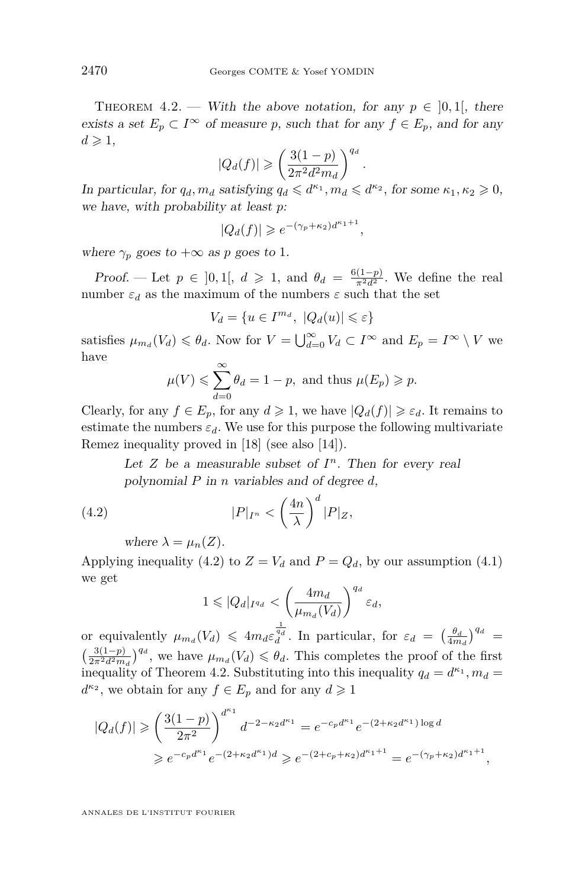<span id="page-26-0"></span>THEOREM 4.2. — With the above notation, for any  $p \in [0,1]$ , there exists a set  $E_p \subset I^{\infty}$  of measure p, such that for any  $f \in E_p$ , and for any  $d \geqslant 1$ ,

$$
|Q_d(f)| \geqslant \left(\frac{3(1-p)}{2\pi^2 d^2 m_d}\right)^{q_d}.
$$

In particular, for  $q_d$ ,  $m_d$  satisfying  $q_d \leq d^{\kappa_1}$ ,  $m_d \leq d^{\kappa_2}$ , for some  $\kappa_1, \kappa_2 \geq 0$ , we have, with probability at least *p*:

$$
|Q_d(f)| \geq e^{-(\gamma_p + \kappa_2)d^{\kappa_1 + 1}},
$$

where  $\gamma_p$  goes to  $+\infty$  as p goes to 1.

Proof. — Let  $p \in ]0,1[, d \ge 1$ , and  $\theta_d = \frac{6(1-p)}{\pi^2 d^2}$ . We define the real number  $\varepsilon_d$  as the maximum of the numbers  $\varepsilon$  such that the set

$$
V_d=\{u\in I^{m_d},\ |Q_d(u)|\leqslant \varepsilon\}
$$

satisfies  $\mu_{m_d}(V_d) \leq \theta_d$ . Now for  $V = \bigcup_{d=0}^{\infty} V_d \subset I^{\infty}$  and  $E_p = I^{\infty} \setminus V$  we have

$$
\mu(V) \leqslant \sum_{d=0}^{\infty} \theta_d = 1 - p, \text{ and thus } \mu(E_p) \geqslant p.
$$

Clearly, for any  $f \in E_p$ , for any  $d \ge 1$ , we have  $|Q_d(f)| \ge \varepsilon_d$ . It remains to estimate the numbers  $\varepsilon_d$ . We use for this purpose the following multivariate Remez inequality proved in [\[18\]](#page-31-15) (see also [\[14\]](#page-30-8)).

Let  $Z$  be a measurable subset of  $I<sup>n</sup>$ . Then for every real polynomial *P* in *n* variables and of degree *d*,

(4.2) 
$$
|P|_{I^n} < \left(\frac{4n}{\lambda}\right)^d |P|_Z,
$$

where  $\lambda = \mu_n(Z)$ .

Applying inequality [\(4.2\)](#page-26-1) to  $Z = V_d$  and  $P = Q_d$ , by our assumption [\(4.1\)](#page-25-1) we get

<span id="page-26-1"></span>
$$
1 \leqslant |Q_d|_{I^{q_d}} < \left(\frac{4m_d}{\mu_{m_d}(V_d)}\right)^{q_d} \varepsilon_d,
$$

or equivalently  $\mu_{m_d}(V_d) \leq 4m_d \varepsilon_d^{\frac{1}{q_d}}$ . In particular, for  $\varepsilon_d = \left(\frac{\theta_d}{4m_d}\right)^{q_d}$  $\left(\frac{3(1-p)}{2\pi^2 d^2 m_d}\right)^{q_d}$ , we have  $\mu_{m_d}(V_d) \leq \theta_d$ . This completes the proof of the first inequality of Theorem [4.2.](#page-26-0) Substituting into this inequality  $q_d = d^{\kappa_1}, m_d =$  $d^{\kappa_2}$ , we obtain for any  $f \in E_p$  and for any  $d \geq 1$ 

$$
|Q_d(f)| \ge \left(\frac{3(1-p)}{2\pi^2}\right)^{d^{\kappa_1}} d^{-2-\kappa_2 d^{\kappa_1}} = e^{-c_p d^{\kappa_1}} e^{-(2+\kappa_2 d^{\kappa_1}) \log d}
$$
  

$$
\ge e^{-c_p d^{\kappa_1}} e^{-(2+\kappa_2 d^{\kappa_1})d} \ge e^{-(2+c_p+\kappa_2)d^{\kappa_1+1}} = e^{-(\gamma_p+\kappa_2)d^{\kappa_1+1}}
$$

*,*

ANNALES DE L'INSTITUT FOURIER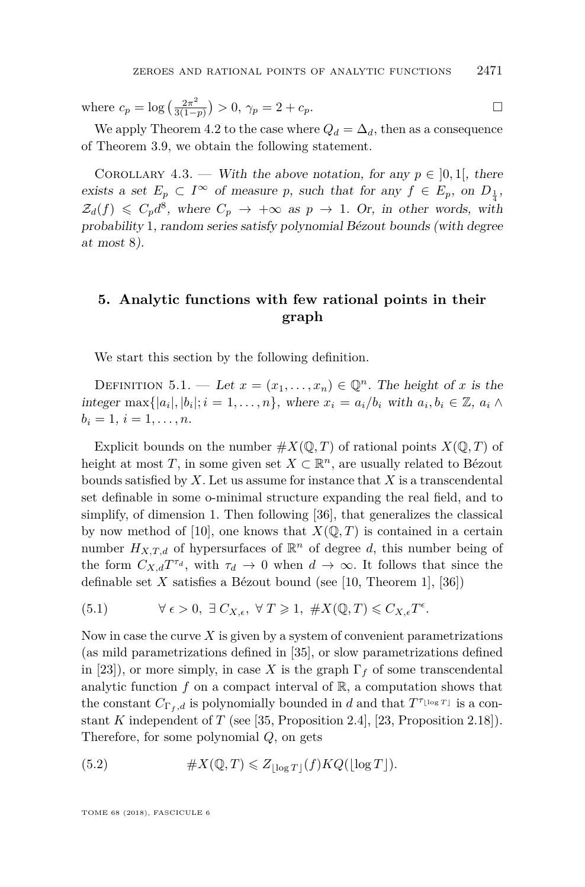where  $c_p = \log \left( \frac{2\pi^2}{3(1 - 1)} \right)$  $\left(\frac{2\pi^2}{3(1-p)}\right) > 0, \, \gamma_p = 2 + c_p.$ 

We apply Theorem [4.2](#page-26-0) to the case where  $Q_d = \Delta_d$ , then as a consequence of Theorem [3.9,](#page-15-1) we obtain the following statement.

<span id="page-27-0"></span>COROLLARY 4.3. — With the above notation, for any  $p \in [0,1]$ , there exists a set  $E_p \subset I^{\infty}$  of measure *p*, such that for any  $f \in E_p$ , on  $D_{\frac{1}{4}}$ ,  $\mathcal{Z}_d(f) \leqslant C_p d^8$ , where  $C_p \rightarrow +\infty$  as  $p \rightarrow 1$ . Or, in other words, with probability 1, random series satisfy polynomial Bézout bounds (with degree at most 8).

#### <span id="page-27-1"></span>**5. Analytic functions with few rational points in their graph**

We start this section by the following definition.

DEFINITION 5.1. — Let  $x = (x_1, \ldots, x_n) \in \mathbb{Q}^n$ . The height of *x* is the integer max $\{|a_i|, |b_i|; i = 1, \ldots, n\}$ , where  $x_i = a_i/b_i$  with  $a_i, b_i \in \mathbb{Z}$ ,  $a_i \wedge$  $b_i = 1, i = 1, \ldots, n$ .

Explicit bounds on the number  $\#X(\mathbb{Q},T)$  of rational points  $X(\mathbb{Q},T)$  of height at most *T*, in some given set  $X \subset \mathbb{R}^n$ , are usually related to Bézout bounds satisfied by *X*. Let us assume for instance that *X* is a transcendental set definable in some o-minimal structure expanding the real field, and to simplify, of dimension 1. Then following [\[36\]](#page-31-16), that generalizes the classical by now method of [\[10\]](#page-30-9), one knows that  $X(\mathbb{Q}, T)$  is contained in a certain number  $H_{X,T,d}$  of hypersurfaces of  $\mathbb{R}^n$  of degree *d*, this number being of the form  $C_{X,d}T^{\tau_d}$ , with  $\tau_d \to 0$  when  $d \to \infty$ . It follows that since the definable set *X* satisfies a Bézout bound (see [\[10,](#page-30-9) Theorem 1], [\[36\]](#page-31-16))

<span id="page-27-2"></span>(5.1) 
$$
\forall \epsilon > 0, \exists C_{X,\epsilon}, \forall T \geq 1, \#X(\mathbb{Q},T) \leq C_{X,\epsilon}T^{\epsilon}.
$$

Now in case the curve *X* is given by a system of convenient parametrizations (as mild parametrizations defined in [\[35\]](#page-31-17), or slow parametrizations defined in [\[23\]](#page-31-18)), or more simply, in case X is the graph  $\Gamma_f$  of some transcendental analytic function  $f$  on a compact interval of  $\mathbb{R}$ , a computation shows that the constant  $C_{\Gamma_f,d}$  is polynomially bounded in *d* and that  $T^{\tau_{\lfloor \log T \rfloor}}$  is a constant *K* independent of *T* (see [\[35,](#page-31-17) Proposition 2.4], [\[23,](#page-31-18) Proposition 2.18]). Therefore, for some polynomial *Q*, on gets

<span id="page-27-3"></span>(5.2) 
$$
\#X(\mathbb{Q},T) \leq Z_{\lfloor \log T \rfloor}(f)KQ(\lfloor \log T \rfloor).
$$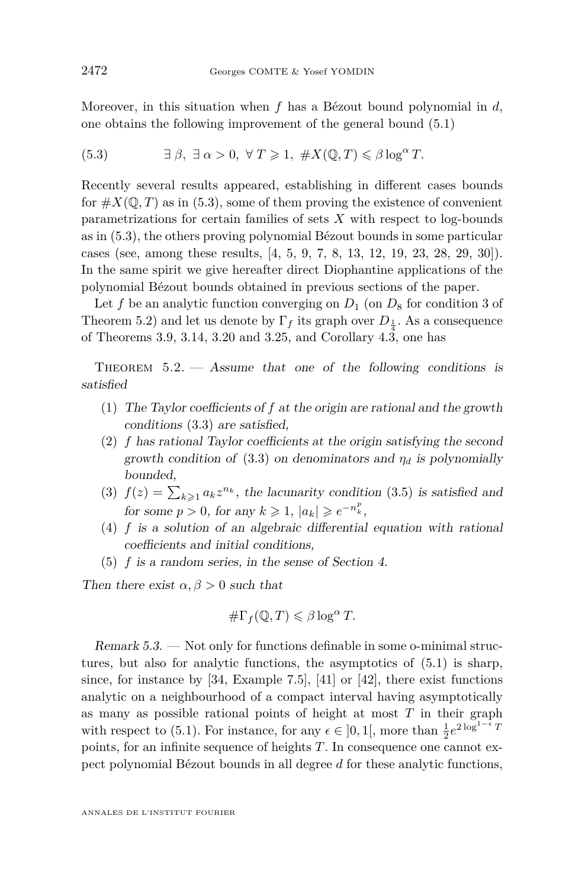Moreover, in this situation when *f* has a Bézout bound polynomial in *d*, one obtains the following improvement of the general bound [\(5.1\)](#page-27-2)

<span id="page-28-2"></span>(5.3) 
$$
\exists \beta, \exists \alpha > 0, \forall T \geq 1, \#X(\mathbb{Q}, T) \leq \beta \log^{\alpha} T.
$$

Recently several results appeared, establishing in different cases bounds for  $\#X(\mathbb{Q},T)$  as in [\(5.3\)](#page-28-2), some of them proving the existence of convenient parametrizations for certain families of sets *X* with respect to log-bounds as in [\(5.3\)](#page-28-2), the others proving polynomial Bézout bounds in some particular cases (see, among these results, [\[4,](#page-30-10) [5,](#page-30-11) [9,](#page-30-12) [7,](#page-30-2) [8,](#page-30-13) [13,](#page-30-0) [12,](#page-30-14) [19,](#page-31-19) [23,](#page-31-18) [28,](#page-31-20) [29,](#page-31-21) [30\]](#page-31-7)). In the same spirit we give hereafter direct Diophantine applications of the polynomial Bézout bounds obtained in previous sections of the paper.

Let f be an analytic function converging on  $D_1$  (on  $D_8$  for condition 3 of Theorem [5.2\)](#page-28-1) and let us denote by  $\Gamma_f$  its graph over  $D_{\frac{1}{4}}$ . As a consequence of Theorems [3.9,](#page-15-1) [3.14,](#page-17-1) [3.20](#page-21-0) and [3.25,](#page-24-0) and Corollary  $4.\overline{3}$ , one has

<span id="page-28-1"></span>THEOREM  $5.2.$  — Assume that one of the following conditions is satisfied

- <span id="page-28-4"></span>(1) The Taylor coefficients of *f* at the origin are rational and the growth conditions [\(3.3\)](#page-15-2) are satisfied,
- (2) *f* has rational Taylor coefficients at the origin satisfying the second growth condition of  $(3.3)$  on denominators and  $\eta_d$  is polynomially bounded,
- (3)  $f(z) = \sum_{k \geqslant 1} a_k z^{n_k}$ , the lacunarity condition [\(3.5\)](#page-21-1) is satisfied and for some  $p > 0$ , for any  $k \ge 1$ ,  $|a_k| \ge e^{-n_k^p}$ ,
- <span id="page-28-5"></span>(4) *f* is a solution of an algebraic differential equation with rational coefficients and initial conditions,
- <span id="page-28-3"></span>(5) *f* is a random series, in the sense of Section [4.](#page-25-0)

Then there exist  $\alpha, \beta > 0$  such that

$$
\#\Gamma_f(\mathbb{Q},T)\leqslant\beta\log^\alpha T.
$$

<span id="page-28-0"></span>Remark 5.3. — Not only for functions definable in some o-minimal structures, but also for analytic functions, the asymptotics of [\(5.1\)](#page-27-2) is sharp, since, for instance by [\[34,](#page-31-3) Example 7.5], [\[41\]](#page-32-1) or [\[42\]](#page-32-2), there exist functions analytic on a neighbourhood of a compact interval having asymptotically as many as possible rational points of height at most *T* in their graph with respect to [\(5.1\)](#page-27-2). For instance, for any  $\epsilon \in ]0,1[$ , more than  $\frac{1}{2}e^{2\log^{1-\epsilon}T}$ points, for an infinite sequence of heights *T*. In consequence one cannot expect polynomial Bézout bounds in all degree *d* for these analytic functions,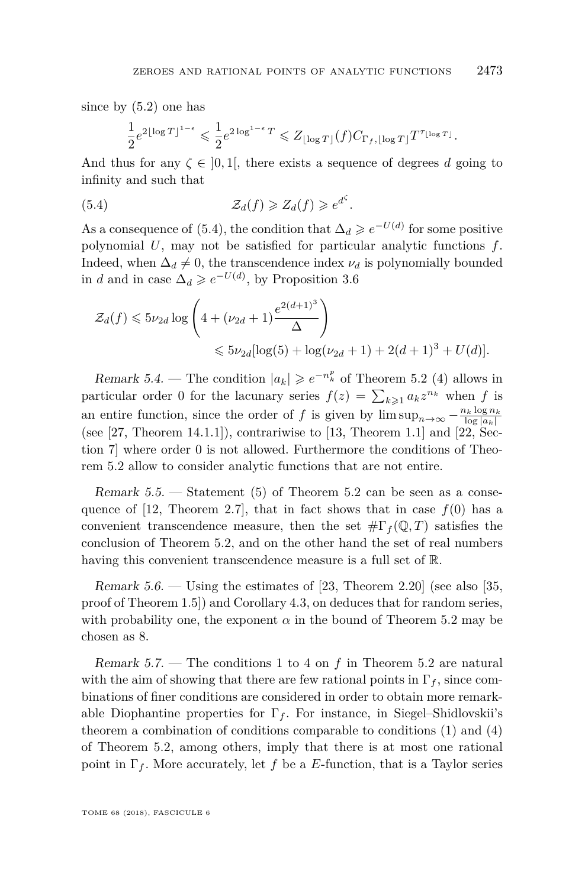since by [\(5.2\)](#page-27-3) one has

<span id="page-29-0"></span>
$$
\frac{1}{2}e^{2\lfloor \log T \rfloor^{1-\epsilon}} \leqslant \frac{1}{2}e^{2\log^{1-\epsilon}T} \leqslant Z_{\lfloor \log T \rfloor}(f)C_{\Gamma_f,\lfloor \log T \rfloor}T^{\tau_{\lfloor \log T \rfloor}}.
$$

And thus for any  $\zeta \in [0,1]$ , there exists a sequence of degrees *d* going to infinity and such that

(5.4) 
$$
\mathcal{Z}_d(f) \geqslant Z_d(f) \geqslant e^{d^{\zeta}}.
$$

As a consequence of [\(5.4\)](#page-29-0), the condition that  $\Delta_d \geq e^{-U(d)}$  for some positive polynomial *U*, may not be satisfied for particular analytic functions *f*. Indeed, when  $\Delta_d \neq 0$ , the transcendence index  $\nu_d$  is polynomially bounded in *d* and in case  $\Delta_d \geq e^{-U(d)}$ , by Proposition [3.6](#page-14-1)

$$
\mathcal{Z}_d(f) \leqslant 5\nu_{2d} \log \left( 4 + (\nu_{2d} + 1) \frac{e^{2(d+1)^3}}{\Delta} \right)
$$
  

$$
\leqslant 5\nu_{2d} [\log(5) + \log(\nu_{2d} + 1) + 2(d+1)^3 + U(d)].
$$

Remark 5.4. — The condition  $|a_k| \geqslant e^{-n_k^p}$  of Theorem [5.2](#page-28-1) (4) allows in particular order 0 for the lacunary series  $f(z) = \sum_{k \geqslant 1} a_k z^{n_k}$  when *f* is an entire function, since the order of *f* is given by  $\limsup_{n\to\infty} -\frac{n_k \log n_k}{\log |a_k|}$ (see  $[27,$  Theorem 14.1.1]), contrariwise to  $[13,$  Theorem 1.1] and  $[22,$  Section 7] where order 0 is not allowed. Furthermore the conditions of Theorem [5.2](#page-28-1) allow to consider analytic functions that are not entire.

Remark  $5.5.$  — Statement  $(5)$  of Theorem  $5.2$  can be seen as a conse-quence of [\[12,](#page-30-14) Theorem 2.7], that in fact shows that in case  $f(0)$  has a convenient transcendence measure, then the set  $\#\Gamma_f(\mathbb{Q},T)$  satisfies the conclusion of Theorem [5.2,](#page-28-1) and on the other hand the set of real numbers having this convenient transcendence measure is a full set of R.

Remark  $5.6.$  — Using the estimates of [\[23,](#page-31-18) Theorem 2.20] (see also [\[35,](#page-31-17) proof of Theorem 1.5]) and Corollary [4.3,](#page-27-0) on deduces that for random series, with probability one, the exponent  $\alpha$  in the bound of Theorem [5.2](#page-28-1) may be chosen as 8.

Remark 5.7. — The conditions 1 to 4 on *f* in Theorem [5.2](#page-28-1) are natural with the aim of showing that there are few rational points in  $\Gamma_f$ , since combinations of finer conditions are considered in order to obtain more remarkable Diophantine properties for  $\Gamma_f$ . For instance, in Siegel–Shidlovskii's theorem a combination of conditions comparable to conditions  $(1)$  and  $(4)$ of Theorem [5.2,](#page-28-1) among others, imply that there is at most one rational point in  $\Gamma_f$ . More accurately, let f be a E-function, that is a Taylor series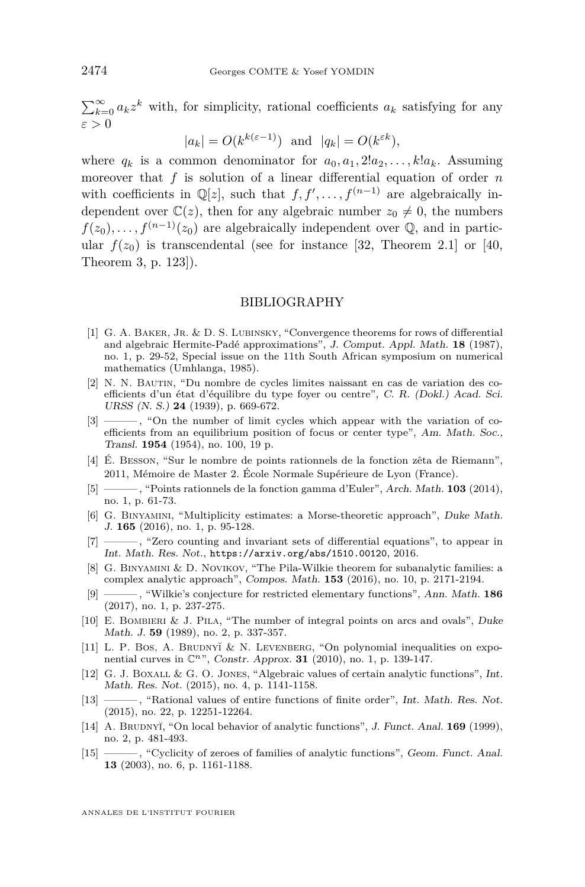$\sum_{k=0}^{\infty} a_k z^k$  with, for simplicity, rational coefficients  $a_k$  satisfying for any *ε >* 0

$$
|a_k| = O(k^{k(\varepsilon - 1)})
$$
 and  $|q_k| = O(k^{\varepsilon k})$ ,

where  $q_k$  is a common denominator for  $a_0, a_1, 2!a_2, \ldots, k!a_k$ . Assuming moreover that *f* is solution of a linear differential equation of order *n* with coefficients in  $\mathbb{Q}[z]$ , such that  $f, f', \ldots, f^{(n-1)}$  are algebraically independent over  $\mathbb{C}(z)$ , then for any algebraic number  $z_0 \neq 0$ , the numbers  $f(z_0), \ldots, f^{(n-1)}(z_0)$  are algebraically independent over  $\mathbb{Q}$ , and in particular  $f(z_0)$  is transcendental (see for instance [\[32,](#page-31-13) Theorem 2.1] or [\[40,](#page-32-6) Theorem 3, p. 123]).

#### BIBLIOGRAPHY

- <span id="page-30-6"></span>[1] G. A. BAKER, JR. & D. S. LUBINSKY, "Convergence theorems for rows of differential and algebraic Hermite-Padé approximations", J. Comput. Appl. Math. **18** (1987), no. 1, p. 29-52, Special issue on the 11th South African symposium on numerical mathematics (Umhlanga, 1985).
- <span id="page-30-3"></span>[2] N. N. Bautin, "Du nombre de cycles limites naissant en cas de variation des coefficients d'un état d'équilibre du type foyer ou centre", C. R. (Dokl.) Acad. Sci. URSS (N. S.) **24** (1939), p. 669-672.
- <span id="page-30-4"></span>[3] ——— , "On the number of limit cycles which appear with the variation of coefficients from an equilibrium position of focus or center type", Am. Math. Soc., Transl. **1954** (1954), no. 100, 19 p.
- <span id="page-30-10"></span>[4] É. Besson, "Sur le nombre de points rationnels de la fonction zêta de Riemann", 2011, Mémoire de Master 2. École Normale Supérieure de Lyon (France).
- <span id="page-30-11"></span>[5] ——— , "Points rationnels de la fonction gamma d'Euler", Arch. Math. **103** (2014), no. 1, p. 61-73.
- <span id="page-30-7"></span>[6] G. Binyamini, "Multiplicity estimates: a Morse-theoretic approach", Duke Math. J. **165** (2016), no. 1, p. 95-128.
- <span id="page-30-2"></span>[7] ——— , "Zero counting and invariant sets of differential equations", to appear in Int. Math. Res. Not., <https://arxiv.org/abs/1510.00120>, 2016.
- <span id="page-30-13"></span>[8] G. Binyamini & D. Novikov, "The Pila-Wilkie theorem for subanalytic families: a complex analytic approach", Compos. Math. **153** (2016), no. 10, p. 2171-2194.
- <span id="page-30-12"></span>[9] ——— , "Wilkie's conjecture for restricted elementary functions", Ann. Math. **186** (2017), no. 1, p. 237-275.
- <span id="page-30-9"></span>[10] E. Bombieri & J. Pila, "The number of integral points on arcs and ovals", Duke Math. J. **59** (1989), no. 2, p. 337-357.
- <span id="page-30-1"></span>[11] L. P. Bos, A. BRUDNY $\check{\mathcal{L}}$  N. LEVENBERG, "On polynomial inequalities on exponential curves in C*n*", Constr. Approx. **31** (2010), no. 1, p. 139-147.
- <span id="page-30-14"></span>[12] G. J. Boxall & G. O. Jones, "Algebraic values of certain analytic functions", Int. Math. Res. Not. (2015), no. 4, p. 1141-1158.
- <span id="page-30-0"></span>[13] ——, "Rational values of entire functions of finite order", Int. Math. Res. Not. (2015), no. 22, p. 12251-12264.
- <span id="page-30-8"></span>[14] A. BRUDNYĬ, "On local behavior of analytic functions", *J. Funct. Anal.* **169** (1999), no. 2, p. 481-493.
- <span id="page-30-5"></span>[15] ——— , "Cyclicity of zeroes of families of analytic functions", Geom. Funct. Anal. **13** (2003), no. 6, p. 1161-1188.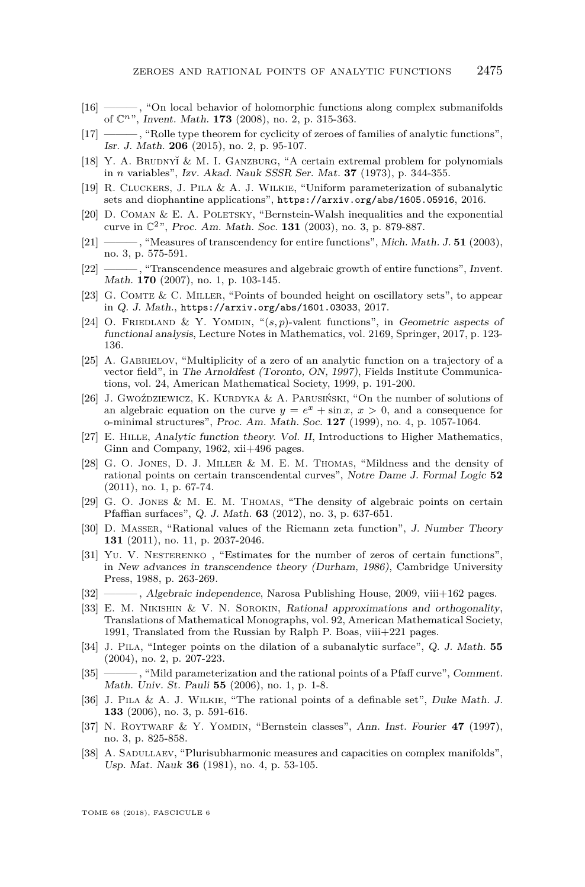- <span id="page-31-6"></span>[16] ——, "On local behavior of holomorphic functions along complex submanifolds of C*n*", Invent. Math. **173** (2008), no. 2, p. 315-363.
- <span id="page-31-8"></span>[17] ——— , "Rolle type theorem for cyclicity of zeroes of families of analytic functions", Isr. J. Math. **206** (2015), no. 2, p. 95-107.
- <span id="page-31-15"></span>[18] Y. A. BRUDNY $\check{\mathcal{L}}$  M. I. GANZBURG, "A certain extremal problem for polynomials in *n* variables", Izv. Akad. Nauk SSSR Ser. Mat. **37** (1973), p. 344-355.
- <span id="page-31-19"></span>[19] R. Cluckers, J. Pila & A. J. Wilkie, "Uniform parameterization of subanalytic sets and diophantine applications", <https://arxiv.org/abs/1605.05916>, 2016.
- <span id="page-31-11"></span>[20] D. COMAN  $&$  E. A. POLETSKY, "Bernstein-Walsh inequalities and the exponential curve in C2", Proc. Am. Math. Soc. **131** (2003), no. 3, p. 879-887.
- <span id="page-31-0"></span>[21] ———, "Measures of transcendency for entire functions", Mich. Math. J. **51** (2003), no. 3, p. 575-591.
- <span id="page-31-4"></span>[22] ——, "Transcendence measures and algebraic growth of entire functions", Invent. Math. **170** (2007), no. 1, p. 103-145.
- <span id="page-31-18"></span>[23] G. Comte & C. Miller, "Points of bounded height on oscillatory sets", to appear in Q. J. Math., <https://arxiv.org/abs/1601.03033>, 2017.
- <span id="page-31-9"></span>[24] O. Friedland & Y. Yomdin, "(*s, p*)-valent functions", in Geometric aspects of functional analysis, Lecture Notes in Mathematics, vol. 2169, Springer, 2017, p. 123- 136.
- <span id="page-31-12"></span>[25] A. GABRIELOV, "Multiplicity of a zero of an analytic function on a trajectory of a vector field", in The Arnoldfest (Toronto, ON, 1997), Fields Institute Communications, vol. 24, American Mathematical Society, 1999, p. 191-200.
- <span id="page-31-5"></span>[26] J. Gwoździewicz, K. Kurdyka & A. Parusiński, "On the number of solutions of an algebraic equation on the curve  $y = e^x + \sin x$ ,  $x > 0$ , and a consequence for o-minimal structures", Proc. Am. Math. Soc. **127** (1999), no. 4, p. 1057-1064.
- <span id="page-31-22"></span>[27] E. Hille, Analytic function theory. Vol. II, Introductions to Higher Mathematics, Ginn and Company, 1962, xii+496 pages.
- <span id="page-31-20"></span>[28] G. O. Jones, D. J. Miller & M. E. M. Thomas, "Mildness and the density of rational points on certain transcendental curves", Notre Dame J. Formal Logic **52** (2011), no. 1, p. 67-74.
- <span id="page-31-21"></span>[29] G. O. JONES & M. E. M. THOMAS, "The density of algebraic points on certain Pfaffian surfaces", Q. J. Math. **63** (2012), no. 3, p. 637-651.
- <span id="page-31-7"></span>[30] D. Masser, "Rational values of the Riemann zeta function", J. Number Theory **131** (2011), no. 11, p. 2037-2046.
- <span id="page-31-14"></span>[31] Yu. V. Nesterenko , "Estimates for the number of zeros of certain functions", in New advances in transcendence theory (Durham, 1986), Cambridge University Press, 1988, p. 263-269.
- <span id="page-31-13"></span>[32] ———, Algebraic independence, Narosa Publishing House, 2009, viii+162 pages.
- <span id="page-31-10"></span>[33] E. M. NIKISHIN & V. N. SOROKIN, Rational approximations and orthogonality, Translations of Mathematical Monographs, vol. 92, American Mathematical Society, 1991, Translated from the Russian by Ralph P. Boas, viii+221 pages.
- <span id="page-31-3"></span>[34] J. Pila, "Integer points on the dilation of a subanalytic surface", Q. J. Math. **55** (2004), no. 2, p. 207-223.
- <span id="page-31-17"></span>[35] ——— , "Mild parameterization and the rational points of a Pfaff curve", Comment. Math. Univ. St. Pauli **55** (2006), no. 1, p. 1-8.
- <span id="page-31-16"></span>[36] J. PILA & A. J. WILKIE, "The rational points of a definable set", Duke Math. J. **133** (2006), no. 3, p. 591-616.
- <span id="page-31-1"></span>[37] N. ROYTWARF & Y. YOMDIN, "Bernstein classes", Ann. Inst. Fourier 47 (1997), no. 3, p. 825-858.
- <span id="page-31-2"></span>[38] A. Sadullaev, "Plurisubharmonic measures and capacities on complex manifolds", Usp. Mat. Nauk **36** (1981), no. 4, p. 53-105.